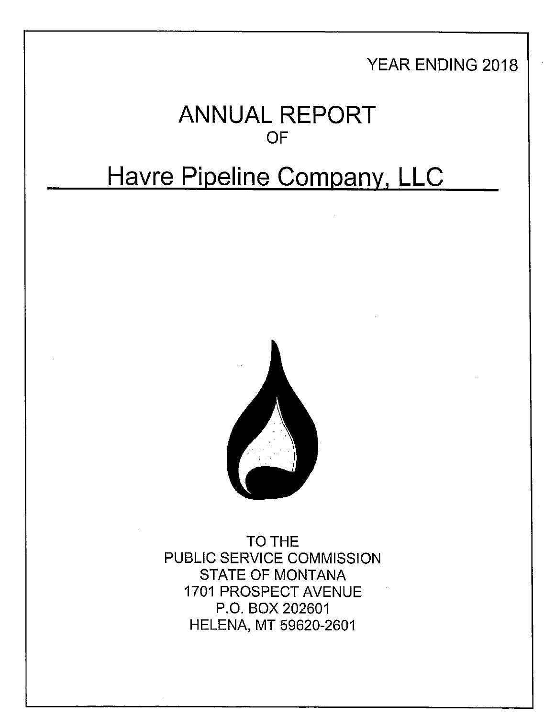## YEAR ENDING 2018

# **ANNUAL REPORT**  OF

# **Havre Pipeline Company, LLC**



TO THE PUBLIC SERVICE COMMISSION STATE OF MONTANA 1701 PROSPECT AVENUE P.O. BOX 202601 HELENA, MT 59620-2601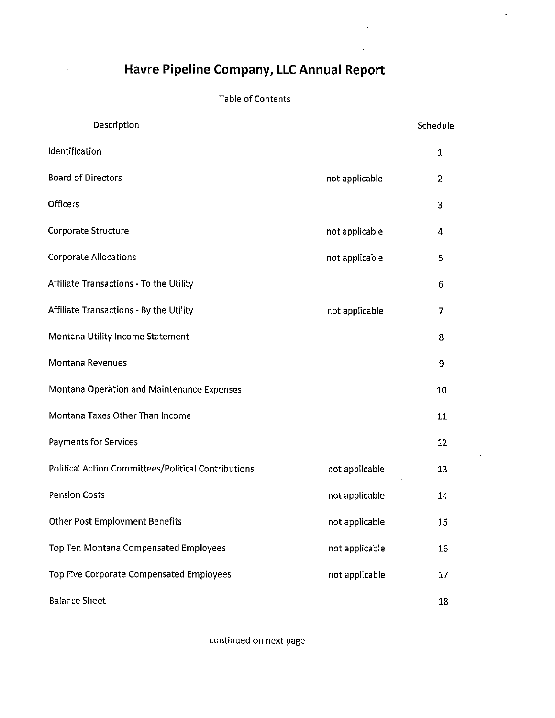### **Havre Pipeline Company, LLC Annual Report**

 $\hat{\boldsymbol{\beta}}$ 

 $\sim$ 

 $\ddot{\phantom{1}}$ 

#### Table of Contents

| Description                                         |                | Schedule |
|-----------------------------------------------------|----------------|----------|
| Identification                                      |                | 1        |
| <b>Board of Directors</b>                           | not applicable | 2        |
| Officers                                            |                | 3        |
| Corporate Structure                                 | not applicable | 4        |
| <b>Corporate Allocations</b>                        | not applicable | 5        |
| Affiliate Transactions - To the Utility             |                | 6        |
| Affiliate Transactions - By the Utility             | not applicable | 7        |
| Montana Utility Income Statement                    |                | 8        |
| Montana Revenues                                    |                | 9        |
| Montana Operation and Maintenance Expenses          |                | 10       |
| Montana Taxes Other Than Income                     |                | 11       |
| <b>Payments for Services</b>                        |                | 12       |
| Political Action Committees/Political Contributions | not applicable | 13       |
| <b>Pension Costs</b>                                | not applicable | 14       |
| <b>Other Post Employment Benefits</b>               | not applicable | 15       |
| Top Ten Montana Compensated Employees               | not applicable | 16       |
| Top Five Corporate Compensated Employees            | not applicable | 17       |
| <b>Balance Sheet</b>                                |                | 18       |

continued on next page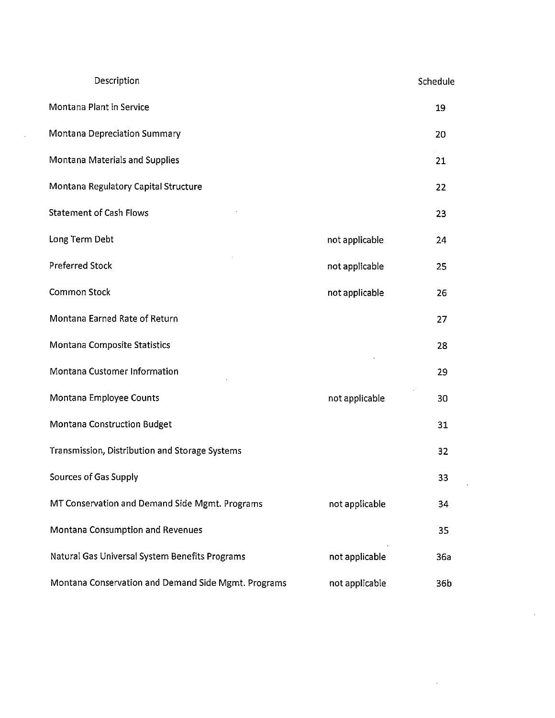| Description                                         |                | Schedule |
|-----------------------------------------------------|----------------|----------|
| Montana Plant in Service                            |                | 19       |
| <b>Montana Depreciation Summary</b>                 |                | 20       |
| Montana Materials and Supplies                      |                | 21       |
| Montana Regulatory Capital Structure                |                | 22       |
| <b>Statement of Cash Flows</b>                      |                | 23       |
| Long Term Debt                                      | not applicable | 24       |
| <b>Preferred Stock</b>                              | not applicable | 25       |
| <b>Common Stock</b>                                 | not applicable | 26       |
| Montana Earned Rate of Return                       |                | 27       |
| Montana Composite Statistics                        |                | 28       |
| Montana Customer Information                        |                | 29       |
| Montana Employee Counts                             | not applicable | 30       |
| Montana Construction Budget                         |                | 31       |
| Transmission, Distribution and Storage Systems      |                | 32       |
| Sources of Gas Supply                               |                | 33       |
| MT Conservation and Demand Side Mgmt. Programs      | not applicable | 34       |
| Montana Consumption and Revenues                    |                | 35       |
| Natural Gas Universal System Benefits Programs      | not applicable | 36a      |
| Montana Conservation and Demand Side Mgmt. Programs | not applicable | 36b      |

 $\sim 10^{-10}$ 

 $\sim 10^{11}$  km s  $^{-1}$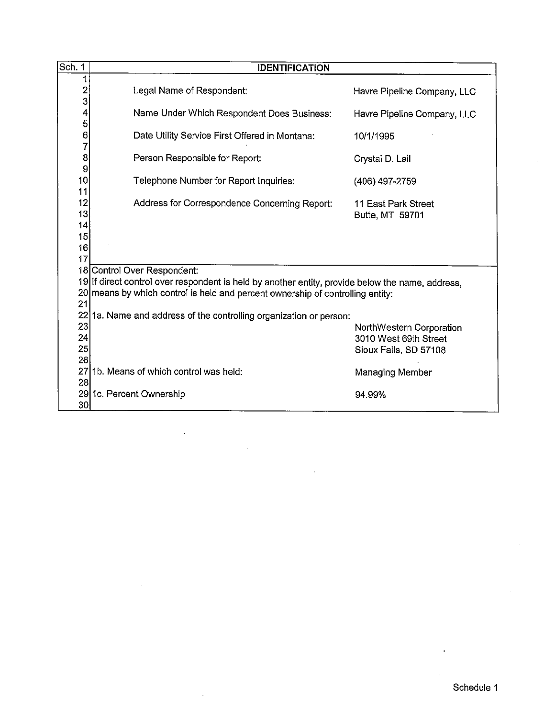| Sch. 1                            | <b>IDENTIFICATION</b>                                                                                                                                                                                             |                                                   |
|-----------------------------------|-------------------------------------------------------------------------------------------------------------------------------------------------------------------------------------------------------------------|---------------------------------------------------|
| 1<br>$\overline{\mathbf{c}}$<br>3 | Legal Name of Respondent:                                                                                                                                                                                         | Havre Pipeline Company, LLC                       |
| 4<br>5                            | Name Under Which Respondent Does Business:                                                                                                                                                                        | Havre Pipeline Company, LLC                       |
| $\frac{6}{7}$                     | Date Utility Service First Offered in Montana:                                                                                                                                                                    | 10/1/1995                                         |
| 8<br>9                            | Person Responsible for Report:                                                                                                                                                                                    | Crystal D. Lail                                   |
| 10 <sup>°</sup><br>11             | Telephone Number for Report Inquiries:                                                                                                                                                                            | (406) 497-2759                                    |
| 12<br>13<br>14                    | Address for Correspondence Concerning Report:                                                                                                                                                                     | 11 East Park Street<br>Butte, MT 59701            |
| 15<br>16                          |                                                                                                                                                                                                                   |                                                   |
| 17<br>21                          | 18 Control Over Respondent:<br>19 If direct control over respondent is held by another entity, provide below the name, address,<br>20 means by which control is held and percent ownership of controlling entity: |                                                   |
|                                   | 22 1a. Name and address of the controlling organization or person:                                                                                                                                                |                                                   |
| 23<br>24                          |                                                                                                                                                                                                                   | NorthWestern Corporation<br>3010 West 69th Street |
| 25                                |                                                                                                                                                                                                                   | Sioux Falls, SD 57108                             |
| 26                                |                                                                                                                                                                                                                   |                                                   |
| 27<br>28                          | 1b. Means of which control was held:                                                                                                                                                                              | Managing Member                                   |
| 30 <sub>l</sub>                   | 29 1c. Percent Ownership                                                                                                                                                                                          | 94.99%                                            |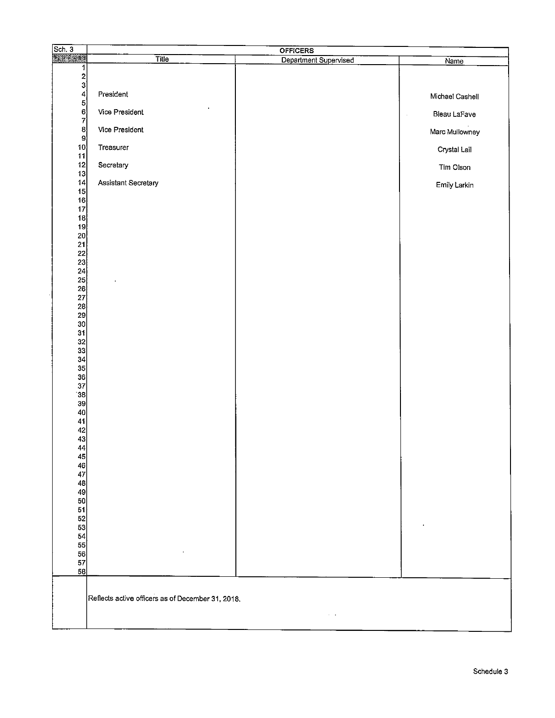| Sch.3                                        | <b>OFFICERS</b>                                   |                       |                                    |  |  |  |
|----------------------------------------------|---------------------------------------------------|-----------------------|------------------------------------|--|--|--|
| 厦                                            | <b>Title</b>                                      | Department Supervised | Name                               |  |  |  |
| $\mathbf{1}$                                 |                                                   |                       |                                    |  |  |  |
| $\frac{2}{3}$                                |                                                   |                       |                                    |  |  |  |
| $\overline{4}$                               | President                                         |                       | Michael Cashell                    |  |  |  |
|                                              |                                                   |                       |                                    |  |  |  |
| $\begin{bmatrix} 5 \\ 6 \\ 7 \end{bmatrix}$  | Vice President                                    |                       | Bleau LaFave<br>$\hat{\mathbf{r}}$ |  |  |  |
|                                              | Vice President                                    |                       |                                    |  |  |  |
| $\frac{8}{9}$                                |                                                   |                       | Marc Mullowney                     |  |  |  |
| 10 <sub>1</sub>                              | Treasurer                                         |                       | Crystal Lail                       |  |  |  |
| 11                                           |                                                   |                       |                                    |  |  |  |
| 12                                           | Secretary                                         |                       | Tim Olson                          |  |  |  |
| 13<br>14                                     | Assistant Secretary                               |                       |                                    |  |  |  |
| 15                                           |                                                   |                       | Emily Larkin                       |  |  |  |
| 16                                           |                                                   |                       |                                    |  |  |  |
| 17                                           |                                                   |                       |                                    |  |  |  |
| 18<br>19                                     |                                                   |                       |                                    |  |  |  |
|                                              |                                                   |                       |                                    |  |  |  |
| $\begin{bmatrix} 20 \\ 21 \end{bmatrix}$     |                                                   |                       |                                    |  |  |  |
| $\begin{bmatrix} 22 \\ 23 \end{bmatrix}$     |                                                   |                       |                                    |  |  |  |
|                                              |                                                   |                       |                                    |  |  |  |
|                                              |                                                   |                       |                                    |  |  |  |
|                                              |                                                   |                       |                                    |  |  |  |
|                                              |                                                   |                       |                                    |  |  |  |
|                                              |                                                   |                       |                                    |  |  |  |
| 24<br>25<br>26<br>27<br>28<br>29<br>30<br>31 |                                                   |                       |                                    |  |  |  |
|                                              |                                                   |                       |                                    |  |  |  |
|                                              |                                                   |                       |                                    |  |  |  |
| $\begin{vmatrix} 32 \\ 33 \end{vmatrix}$     |                                                   |                       |                                    |  |  |  |
| 34                                           |                                                   |                       |                                    |  |  |  |
| 35                                           |                                                   |                       |                                    |  |  |  |
| $\begin{array}{c} 36 \\ 37 \end{array}$      |                                                   |                       |                                    |  |  |  |
| 38                                           |                                                   |                       |                                    |  |  |  |
| 39                                           |                                                   |                       |                                    |  |  |  |
| 40                                           |                                                   |                       |                                    |  |  |  |
| 41                                           |                                                   |                       |                                    |  |  |  |
| $\begin{bmatrix} 42 \\ 43 \end{bmatrix}$     |                                                   |                       |                                    |  |  |  |
| 44                                           |                                                   |                       |                                    |  |  |  |
| 45                                           |                                                   |                       |                                    |  |  |  |
| 46                                           |                                                   |                       |                                    |  |  |  |
| 47                                           |                                                   |                       |                                    |  |  |  |
| 48<br>49                                     |                                                   |                       |                                    |  |  |  |
| 50                                           |                                                   |                       |                                    |  |  |  |
| 51                                           |                                                   |                       |                                    |  |  |  |
| 52                                           |                                                   |                       |                                    |  |  |  |
| 53<br>54                                     |                                                   |                       |                                    |  |  |  |
| 55                                           |                                                   |                       |                                    |  |  |  |
| 56                                           |                                                   |                       |                                    |  |  |  |
| 57                                           |                                                   |                       |                                    |  |  |  |
| 58                                           |                                                   |                       |                                    |  |  |  |
|                                              | Reflects active officers as of December 31, 2018. |                       |                                    |  |  |  |
|                                              |                                                   | $\sim$ $ \sim$        |                                    |  |  |  |
|                                              |                                                   |                       |                                    |  |  |  |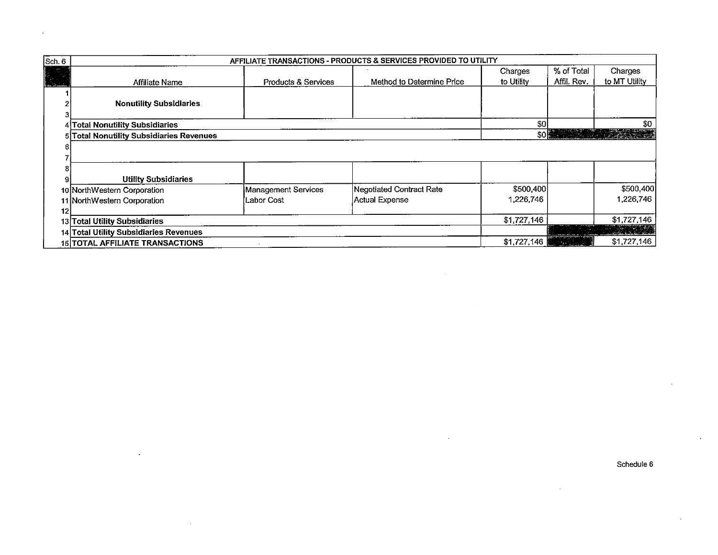| Sch. 6          | AFFILIATE TRANSACTIONS - PRODUCTS & SERVICES PROVIDED TO UTILITY |                                |                           |             |                         |                               |  |  |
|-----------------|------------------------------------------------------------------|--------------------------------|---------------------------|-------------|-------------------------|-------------------------------|--|--|
|                 |                                                                  |                                |                           | Charges     | % of Total              | Charges                       |  |  |
| W.              | <b>Affiliate Name</b>                                            | <b>Products &amp; Services</b> | Method to Determine Price | to Utility  | Affil. Rev.             | to MT Utility                 |  |  |
|                 |                                                                  |                                |                           |             |                         |                               |  |  |
|                 | <b>Nonutility Subsidiaries</b>                                   |                                |                           |             |                         |                               |  |  |
|                 |                                                                  |                                |                           |             |                         |                               |  |  |
|                 | 4 Total Nonutility Subsidiaries                                  |                                |                           | \$0l        |                         | \$0                           |  |  |
|                 | 5 Total Nonutility Subsidiaries Revenues                         |                                |                           |             |                         |                               |  |  |
|                 |                                                                  |                                |                           |             |                         |                               |  |  |
|                 |                                                                  |                                |                           |             |                         |                               |  |  |
|                 |                                                                  |                                |                           |             |                         |                               |  |  |
| 9               | <b>Utility Subsidiaries</b>                                      |                                |                           |             |                         |                               |  |  |
|                 | 10 NorthWestern Corporation                                      | Management Services            | Negotiated Contract Rate  | \$500,400   |                         | \$500,400                     |  |  |
|                 | 11 NorthWestern Corporation                                      | Labor Cost                     | Actual Expense            | 1,226,746   |                         | 1,226,746                     |  |  |
| 12 <sup>1</sup> |                                                                  |                                |                           |             |                         |                               |  |  |
|                 | 13 Total Utility Subsidiaries                                    | \$1,727,146                    |                           | \$1,727,146 |                         |                               |  |  |
|                 | 14 Total Utility Subsidiaries Revenues                           |                                |                           |             |                         | <u> 1999 - Johann Stoffen</u> |  |  |
|                 | <b>15 TOTAL AFFILIATE TRANSACTIONS</b>                           |                                |                           |             | and the substantial and | \$1,727,146                   |  |  |

 $\bar{z}$ 

 $\ddot{\phantom{a}}$ 

 $\ddot{\phantom{a}}$ 

 $\epsilon$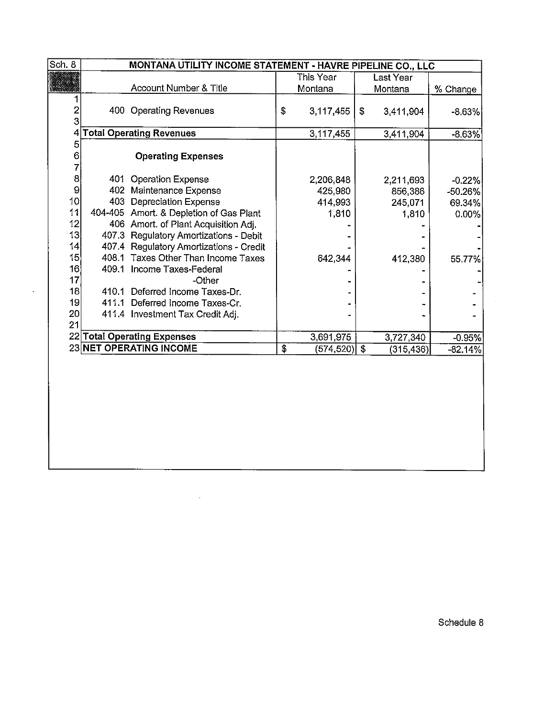| Sch. 8         | MONTANA UTILITY INCOME STATEMENT - HAVRE PIPELINE CO., LLC |                                         |            |           |    |           |           |  |
|----------------|------------------------------------------------------------|-----------------------------------------|------------|-----------|----|-----------|-----------|--|
|                |                                                            |                                         |            | This Year |    | Last Year |           |  |
|                |                                                            | Account Number & Title                  |            | Montana   |    | Montana   | % Change  |  |
|                |                                                            |                                         |            |           |    |           |           |  |
| $\overline{c}$ |                                                            | 400 Operating Revenues                  | $\pmb{\$}$ | 3,117,455 | \$ | 3,411,904 | $-8.63%$  |  |
| 3              |                                                            |                                         |            |           |    |           |           |  |
|                |                                                            | 4 Total Operating Revenues              |            | 3,117,455 |    | 3,411,904 | $-8.63%$  |  |
| 5              |                                                            |                                         |            |           |    |           |           |  |
| 6              |                                                            | <b>Operating Expenses</b>               |            |           |    |           |           |  |
| 7              |                                                            |                                         |            |           |    |           |           |  |
| 8              |                                                            | 401 Operation Expense                   |            | 2,206,848 |    | 2,211,693 | $-0.22%$  |  |
| 9              |                                                            | 402 Maintenance Expense                 |            | 425,980   |    | 856,386   | $-50.26%$ |  |
| 10             |                                                            | 403 Depreciation Expense                |            | 414.993   |    | 245,071   | 69.34%    |  |
| 11             |                                                            | 404-405 Amort. & Depletion of Gas Plant |            | 1,810     |    | 1,810     | 0.00%     |  |
| 12             |                                                            | 406 Amort. of Plant Acquisition Adj.    |            |           |    |           |           |  |
| 13             |                                                            | 407.3 Regulatory Amortizations - Debit  |            |           |    |           |           |  |
| 14             |                                                            | 407.4 Regulatory Amortizations - Credit |            |           |    |           |           |  |
| 15             |                                                            | 408.1 Taxes Other Than Income Taxes     |            | 642.344   |    | 412,380   | 55.77%    |  |
| 16             |                                                            | 409.1 Income Taxes-Federal              |            |           |    |           |           |  |
| 17             |                                                            | -Other                                  |            |           |    |           |           |  |
| 18             |                                                            | 410.1 Deferred Income Taxes-Dr.         |            |           |    |           |           |  |
| 19             |                                                            | 411.1 Deferred Income Taxes-Cr.         |            |           |    |           |           |  |
| 20             |                                                            | 411.4 Investment Tax Credit Adj.        |            |           |    |           |           |  |
| 21             |                                                            |                                         |            |           |    |           |           |  |
|                |                                                            | 22 Total Operating Expenses             |            | 3,691,975 |    | 3,727,340 | $-0.95%$  |  |
|                |                                                            | 23 NET OPERATING INCOME                 | \$         | (574,520) | \$ | (315,436) | $-82.14%$ |  |
|                |                                                            |                                         |            |           |    |           |           |  |

 $\sim$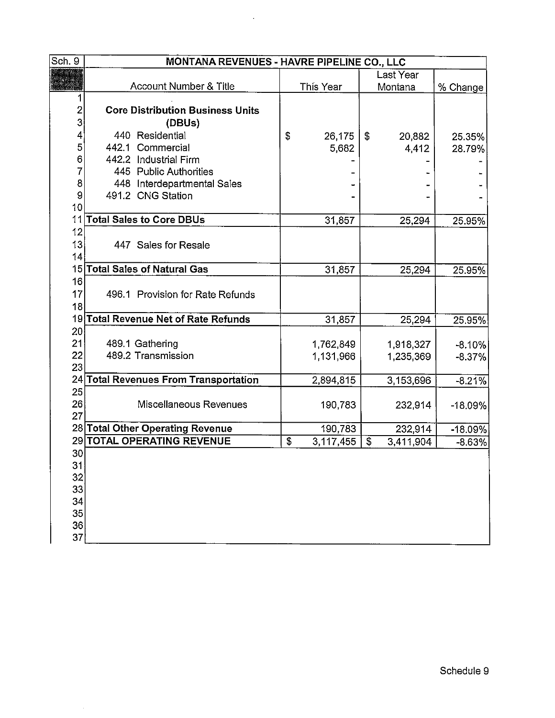| Sch. 9          | MONTANA REVENUES - HAVRE PIPELINE CO., LLC |    |           |    |           |           |  |  |
|-----------------|--------------------------------------------|----|-----------|----|-----------|-----------|--|--|
|                 |                                            |    |           |    | Last Year |           |  |  |
|                 | Account Number & Title                     |    | This Year |    | Montana   | % Change  |  |  |
| 1               |                                            |    |           |    |           |           |  |  |
| $\overline{c}$  | <b>Core Distribution Business Units</b>    |    |           |    |           |           |  |  |
| 3               | (DBUs)                                     |    |           |    |           |           |  |  |
| 4               | 440 Residential                            | \$ | 26,175    | \$ | 20,882    | 25.35%    |  |  |
| 5               | 442.1 Commercial                           |    | 5,682     |    | 4,412     | 28.79%    |  |  |
| 6               | 442.2 Industrial Firm                      |    |           |    |           |           |  |  |
| 7               | 445 Public Authorities                     |    |           |    |           |           |  |  |
| 8               | 448 Interdepartmental Sales                |    |           |    |           |           |  |  |
| 9               | 491.2 CNG Station                          |    |           |    |           |           |  |  |
| 10              |                                            |    |           |    |           |           |  |  |
| 11              | <b>Total Sales to Core DBUs</b>            |    | 31,857    |    | 25,294    | 25.95%    |  |  |
| 12              |                                            |    |           |    |           |           |  |  |
| 13              | 447 Sales for Resale                       |    |           |    |           |           |  |  |
| 14              |                                            |    |           |    |           |           |  |  |
|                 | 15 Total Sales of Natural Gas              |    | 31,857    |    | 25,294    | 25.95%    |  |  |
| 16              |                                            |    |           |    |           |           |  |  |
| 17              | 496.1 Provision for Rate Refunds           |    |           |    |           |           |  |  |
| 18              |                                            |    |           |    |           |           |  |  |
|                 | 19 Total Revenue Net of Rate Refunds       |    | 31,857    |    | 25,294    | 25.95%    |  |  |
| 20              |                                            |    |           |    |           |           |  |  |
| 21              | 489.1 Gathering                            |    | 1762,849  |    | 1,918,327 | $-8.10%$  |  |  |
| 22              | 489.2 Transmission                         |    | 1.131,966 |    | 1,235,369 | $-8.37%$  |  |  |
| 23              |                                            |    |           |    |           |           |  |  |
|                 | 24 Total Revenues From Transportation      |    | 2,894,815 |    | 3,153,696 | $-8.21%$  |  |  |
| 25              |                                            |    |           |    |           |           |  |  |
| 26              | Miscellaneous Revenues                     |    | 190,783   |    | 232,914   | $-18.09%$ |  |  |
| 27              |                                            |    |           |    |           |           |  |  |
|                 | 28 Total Other Operating Revenue           |    | 190,783   |    | 232,914   | $-18.09%$ |  |  |
|                 | 29 TOTAL OPERATING REVENUE                 | \$ | 3,117,455 | \$ | 3,411,904 | $-8.63%$  |  |  |
| 30 <sub>2</sub> |                                            |    |           |    |           |           |  |  |
| 31              |                                            |    |           |    |           |           |  |  |
| 32              |                                            |    |           |    |           |           |  |  |
| 33              |                                            |    |           |    |           |           |  |  |
| 34              |                                            |    |           |    |           |           |  |  |
| 35              |                                            |    |           |    |           |           |  |  |
| 36              |                                            |    |           |    |           |           |  |  |
| 37              |                                            |    |           |    |           |           |  |  |

 $\sim 10^7$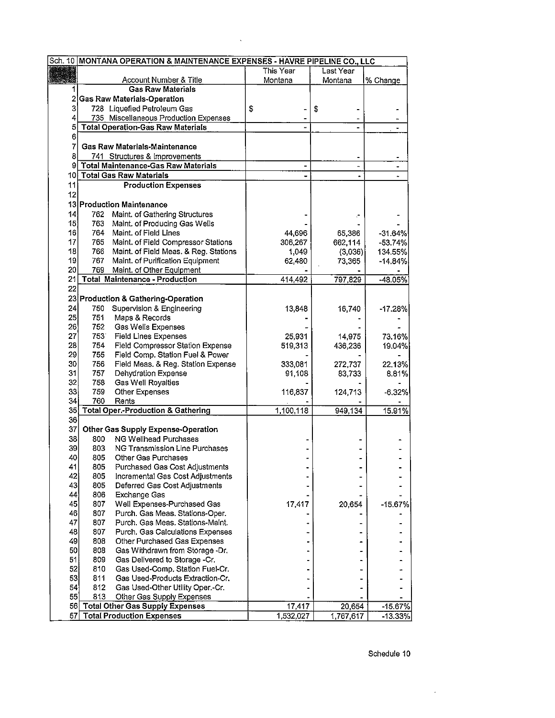|     | Sch. 10 MONTANA OPERATION & MAINTENANCE EXPENSES - HAVRE PIPELINE CO., LLC |           |                   |                          |  |  |
|-----|----------------------------------------------------------------------------|-----------|-------------------|--------------------------|--|--|
|     |                                                                            | This Year | Last Year         |                          |  |  |
|     | Account Number & Title                                                     | Montana   | Montana           | % Change                 |  |  |
|     | <b>Gas Raw Materials</b>                                                   |           |                   |                          |  |  |
| 2   | <b>Gas Raw Materials-Operation</b>                                         |           |                   |                          |  |  |
| 3   | 728 Liquefied Petroleum Gas                                                | \$        | \$                |                          |  |  |
| 4   | 735 Miscellaneous Production Expenses                                      |           |                   |                          |  |  |
| 5   | <b>Total Operation-Gas Raw Materials</b>                                   |           |                   |                          |  |  |
| 6   |                                                                            |           |                   |                          |  |  |
| 7   | <b>Gas Raw Materials-Maintenance</b>                                       |           |                   |                          |  |  |
| 8   | 741 Structures & Improvements                                              |           |                   |                          |  |  |
| 9   | <b>Total Maintenance-Gas Raw Materials</b>                                 |           | ÷                 | $\overline{\phantom{0}}$ |  |  |
| 10  | <b>Total Gas Raw Materials</b>                                             |           |                   |                          |  |  |
| 11  | <b>Production Expenses</b>                                                 |           |                   |                          |  |  |
| 12  |                                                                            |           |                   |                          |  |  |
|     | 13 Production Maintenance                                                  |           |                   |                          |  |  |
| 4   | Maint. of Gathering Structures<br>762                                      |           |                   |                          |  |  |
| 15  | 763 Maint. of Producing Gas Wells                                          |           |                   |                          |  |  |
| 16  | 764 Maint. of Field Lines                                                  | 44,696    |                   |                          |  |  |
| 17  | 765 Maint. of Field Compressor Stations                                    | 306,267   | 65,386<br>662,114 | $-31.64%$<br>$-53.74%$   |  |  |
| 18  | 766 Maint. of Field Meas. & Reg. Stations                                  | 1,049     | (3,036)           | 134.55%                  |  |  |
| 19  | 767 Maint. of Purification Equipment                                       | 62,480    | 73,365            | $-14.84%$                |  |  |
| 20  | 769<br>Maint. of Other Equipment                                           |           |                   |                          |  |  |
| 21  | <b>Total Maintenance - Production</b>                                      | 414,492   | 797,829           | $-48.05%$                |  |  |
| 22  |                                                                            |           |                   |                          |  |  |
|     | 23 Production & Gathering-Operation                                        |           |                   |                          |  |  |
| 24  | 750 Supervision & Engineering                                              | 13,848    | 16,740            | $-17.28%$                |  |  |
| 25  | Maps & Records<br>751                                                      |           |                   |                          |  |  |
| 26  | 752<br>Gas Wells Expenses                                                  |           |                   |                          |  |  |
| 27  | 753<br><b>Field Lines Expenses</b>                                         | 25,931    | 14,975            | 73.16%                   |  |  |
| 28  | 754<br>Field Compressor Station Expense                                    | 519,313   | 436,236           | 19.04%                   |  |  |
| 29  | 755<br>Field Comp. Station Fuel & Power                                    |           |                   |                          |  |  |
| 30  | 756<br>Field Meas. & Reg. Station Expense                                  | 333,081   | 272,737           | 22.13%                   |  |  |
| 31  | 757<br>Dehydration Expense                                                 | 91,108    | 83,733            | 8.81%                    |  |  |
| 32  | 758<br>Gas Well Royalties                                                  |           |                   |                          |  |  |
| 33  | 759<br>Other Expenses                                                      | 116,837   | 124,713           | $-6.32%$                 |  |  |
| 34  | 760<br>Rents                                                               |           |                   |                          |  |  |
| 35] | <b>Total Oper -Production &amp; Gathering</b>                              | 1,100,118 | 949,134           | 15.91%                   |  |  |
| 36  |                                                                            |           |                   |                          |  |  |
| 37  | Other Gas Supply Expense-Operation                                         |           |                   |                          |  |  |
| 38  | NG Wellhead Purchases<br>800                                               |           |                   |                          |  |  |
| 39  | 803<br><b>NG Transmission Line Purchases</b>                               |           |                   |                          |  |  |
| 40  | 805<br>Other Gas Purchases                                                 |           |                   |                          |  |  |
| 41  | 805<br>Purchased Gas Cost Adjustments                                      |           |                   |                          |  |  |
| 42  | 805<br>Incremental Gas Cost Adjustments                                    |           |                   |                          |  |  |
| 43  | 805<br>Deferred Gas Cost Adjustments                                       |           |                   |                          |  |  |
| 44  | 806<br><b>Exchange Gas</b>                                                 |           |                   |                          |  |  |
| 45  | 807<br>Well Expenses-Purchased Gas                                         | 17,417    | 20,654            | $-15.67%$                |  |  |
| 46  | 807<br>Purch. Gas Meas. Stations-Oper.                                     |           |                   |                          |  |  |
| 47  | 807<br>Purch. Gas Meas. Stations-Maint.                                    |           |                   |                          |  |  |
| 48  | 807<br>Purch, Gas Calculations Expenses                                    |           |                   |                          |  |  |
| 49  | 808<br>Other Purchased Gas Expenses                                        |           |                   |                          |  |  |
| 50  | 808<br>Gas Withdrawn from Storage -Dr.                                     |           |                   |                          |  |  |
| 51  | 809<br>Gas Delivered to Storage -Cr.                                       |           |                   |                          |  |  |
| 52  | 810<br>Gas Used-Comp. Station Fuel-Cr.                                     |           |                   |                          |  |  |
| 53  | 811<br>Gas Used-Products Extraction-Cr.                                    |           |                   |                          |  |  |
| 54  | 812<br>Gas Used-Other Utility Oper.-Cr.                                    |           |                   |                          |  |  |
| 55  | 813<br>Other Gas Supply Expenses                                           |           |                   |                          |  |  |
|     | 56 Total Other Gas Supply Expenses                                         | 17,417    | 20,654            | $-15.67%$                |  |  |
| 57  | <b>Total Production Expenses</b>                                           | 1,532,027 | 1,767,617         | $-13.33%$                |  |  |

 $\mathcal{L}^{(1)}$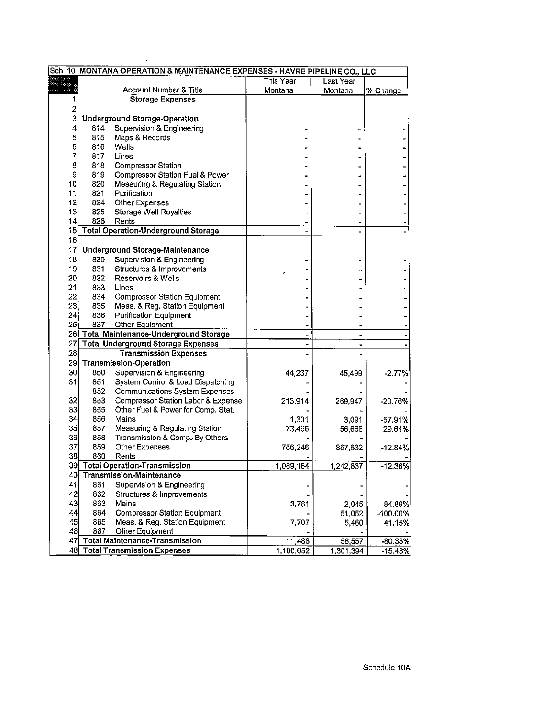|          |            | Sch. 10 MONTANA OPERATION & MAINTENANCE EXPENSES - HAVRE PIPELINE CO., LLC |           |                          |             |
|----------|------------|----------------------------------------------------------------------------|-----------|--------------------------|-------------|
|          |            |                                                                            | This Year | Last Year                |             |
|          |            | Account Number & Title                                                     | Montana   | Montana                  | % Change    |
| 1        |            | <b>Storage Expenses</b>                                                    |           |                          |             |
| 2        |            |                                                                            |           |                          |             |
| 3        |            | <b>Underground Storage-Operation</b>                                       |           |                          |             |
| 4        | 814.       | Supervision & Engineering                                                  |           |                          |             |
| 5        | 815        | Maps & Records                                                             |           |                          |             |
| 6        | 816        | Wells                                                                      |           |                          |             |
| 7        | 817        | Lines                                                                      |           |                          |             |
| 8        | 818        | <b>Compressor Station</b>                                                  |           |                          |             |
| 9        | 819        | <b>Compressor Station Fuel &amp; Power</b>                                 |           |                          |             |
| 10       | 820        | Measuring & Regulating Station                                             |           |                          |             |
| 11       | 821        | Purification                                                               |           |                          |             |
| 12       | 824        | Other Expenses                                                             |           |                          |             |
| 13       | 825        | Storage Well Royalties                                                     |           |                          |             |
| 14       | 826        | Rents                                                                      |           |                          |             |
|          |            | 15 Total Operation-Underground Storage                                     |           | ۰                        |             |
| 16       |            |                                                                            |           |                          |             |
| 17       |            | <b>Underground Storage-Maintenance</b>                                     |           |                          |             |
| 18       | 830        | Supervision & Engineering                                                  |           |                          |             |
| 19       | 831        | Structures & Improvements<br>Reservoirs & Wells                            |           |                          |             |
| 20       | 832        |                                                                            |           |                          |             |
| 21       | 833        | Lines                                                                      |           |                          |             |
| 22<br>23 | 834        | <b>Compressor Station Equipment</b>                                        |           |                          |             |
| 24       | 835        | Meas. & Reg. Station Equipment                                             |           |                          |             |
| 25       | 836<br>837 | <b>Purification Equipment</b><br>Other Equipment                           |           |                          |             |
|          |            | 26 Total Maintenance-Underground Storage                                   |           |                          |             |
|          |            | 27 Total Underground Storage Expenses                                      |           | $\overline{\phantom{a}}$ |             |
| 28       |            | <b>Transmission Expenses</b>                                               |           |                          |             |
|          |            | 29 Transmission-Operation                                                  |           |                          |             |
| 30       | 850        | Supervision & Engineering                                                  | 44,237    |                          |             |
| 31       | 851        | System Control & Load Dispatching                                          |           | 45,499                   | $-2.77%$    |
|          | 852        | Communications System Expenses                                             |           |                          |             |
| 32       | 853        | Compressor Station Labor & Expense                                         | 213,914   | 269,947                  | -20.76%     |
| 33       | 855        | Other Fuel & Power for Comp. Stat.                                         |           |                          |             |
| 34       | 856        | Mains                                                                      | 1,301     | 3,091                    | $-57.91%$   |
| 35       | 857        | Measuring & Regulating Station                                             | 73,466    | 56,668                   | 29.64%      |
| 36       | 858        | Transmission & Comp.-By Others                                             |           |                          |             |
| 37       | 859        | <b>Other Expenses</b>                                                      | 756,246   | 867,632                  | $-12.84%$   |
| 38       | 860        | Rents                                                                      |           |                          |             |
|          |            | 39 Total Operation-Transmission                                            | 1,089,164 | 1,242,837                | $-12.36%$   |
| 40       |            | <b>Transmission-Maintenance</b>                                            |           |                          |             |
| 41       | 861        | Supervision & Engineering                                                  |           |                          |             |
| 42       | 862        | Structures & Improvements                                                  |           |                          |             |
| 43       | 863        | Mains                                                                      | 3,781     | 2,045                    | 84.89%      |
| 44       | 864        | <b>Compressor Station Equipment</b>                                        |           | 51,052                   | $-100.00\%$ |
| 45       | 865        | Meas. & Reg. Station Equipment                                             | 7,707     | 5,460                    | 41.15%      |
| 46       | 867        | Other Equipment                                                            |           |                          |             |
|          |            | 47 Total Maintenance-Transmission                                          | 11,488    | 58,557                   | $-80.38%$   |
|          |            | 48 Total Transmission Expenses                                             | 1,100,652 | 1,301,394                | -15.43%     |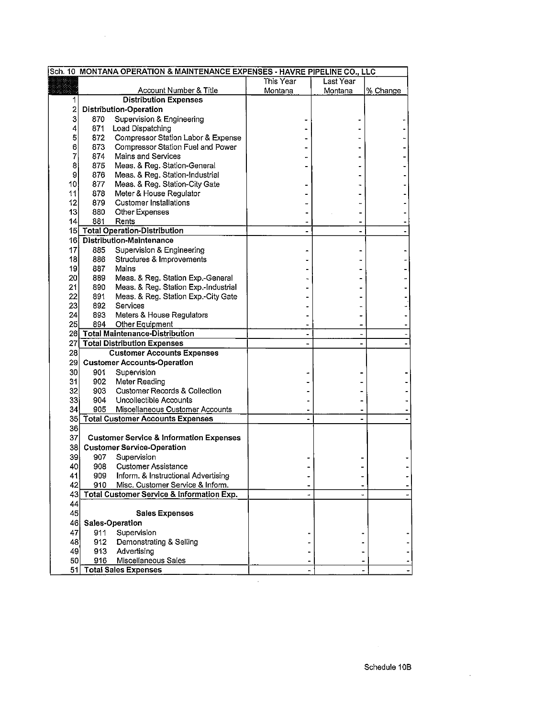|                | Sch. 10 MONTANA OPERATION & MAINTENANCE EXPENSES - HAVRE PIPELINE CO., LLC |                                                    |           |           |          |
|----------------|----------------------------------------------------------------------------|----------------------------------------------------|-----------|-----------|----------|
|                |                                                                            |                                                    | This Year | Last Year |          |
|                |                                                                            | Account Number & Title                             | Montana   | Montana   | % Change |
| 1              |                                                                            | <b>Distribution Expenses</b>                       |           |           |          |
| $\overline{c}$ |                                                                            | <b>Distribution-Operation</b>                      |           |           |          |
| 3              | 870                                                                        | Supervision & Engineering                          |           |           |          |
| 4              |                                                                            | 871 Load Dispatching                               |           |           |          |
| 5              | 872                                                                        | Compressor Station Labor & Expense                 |           |           |          |
| 6              | 873                                                                        | Compressor Station Fuel and Power                  |           |           |          |
| 7              | 874                                                                        | Mains and Services                                 |           |           |          |
| 8              | 875                                                                        | Meas. & Reg. Station-General                       |           |           |          |
| 9              | 876                                                                        | Meas. & Reg. Station-Industrial                    |           |           |          |
| 10,            | 877                                                                        | Meas. & Reg. Station-City Gate                     |           |           |          |
| 11             | 878                                                                        | Meter & House Regulator                            |           |           |          |
| 12             | 879                                                                        | <b>Customer Installations</b>                      |           |           |          |
| 13             | 880                                                                        | Other Expenses                                     |           |           |          |
| 14             | 881                                                                        | Rents                                              |           |           |          |
|                |                                                                            | 15 Total Operation-Distribution                    |           |           |          |
| 16             |                                                                            | <b>Distribution-Maintenance</b>                    |           |           |          |
| 17             | 885                                                                        | Supervision & Engineering                          |           |           |          |
| 18             | 886                                                                        | Structures & Improvements                          |           |           |          |
| 19,            | 887                                                                        | Mains                                              |           |           |          |
| 20             | 889                                                                        | Meas. & Reg. Station Exp.-General                  |           |           |          |
| 21             | 890                                                                        | Meas. & Reg. Station Exp.-Industrial               |           |           |          |
| 22             | 891                                                                        | Meas. & Reg. Station Exp.-City Gate                |           |           |          |
| 23             | 892                                                                        | Services                                           |           |           |          |
| 24             | 893                                                                        | Meters & House Regulators                          |           |           |          |
| 25             |                                                                            | 894 Other Equipment                                |           |           |          |
|                |                                                                            | 26 Total Maintenance-Distribution                  |           |           |          |
|                |                                                                            | 27 Total Distribution Expenses                     |           |           |          |
| 28             |                                                                            | <b>Customer Accounts Expenses</b>                  |           |           |          |
|                |                                                                            | <b>Customer Accounts-Operation</b>                 |           |           |          |
| 29             |                                                                            |                                                    |           |           |          |
| 30             | 901                                                                        | Supervision                                        |           |           |          |
| 31             | 902                                                                        | Meter Reading                                      |           |           |          |
| 32             | 903 -                                                                      | <b>Customer Records &amp; Collection</b>           |           |           |          |
| 33             | 904                                                                        | Uncollectible Accounts                             |           |           |          |
| 34             | 905                                                                        | Miscellaneous Customer Accounts                    |           |           |          |
|                |                                                                            | 35 Total Customer Accounts Expenses                |           |           |          |
| 36             |                                                                            |                                                    |           |           |          |
| 37             |                                                                            | <b>Customer Service &amp; Information Expenses</b> |           |           |          |
| 38I            |                                                                            | <b>Customer Service-Operation</b>                  |           |           |          |
| 39             | 907                                                                        | Supervision                                        |           |           |          |
| 40             | 908                                                                        | <b>Customer Assistance</b>                         |           |           |          |
| 41             | 909                                                                        | Inform. & Instructional Advertising                |           |           |          |
| 42             | 910                                                                        | Misc. Customer Service & Inform.                   |           |           |          |
|                |                                                                            | 43 Total Customer Service & Information Exp.       |           |           |          |
| 44             |                                                                            |                                                    |           |           |          |
| 45             |                                                                            | <b>Sales Expenses</b>                              |           |           |          |
| 46             |                                                                            | Sales-Operation                                    |           |           |          |
| 47             | 911                                                                        | Supervision                                        |           |           |          |
| 48             | 912                                                                        | Demonstrating & Selling                            |           |           |          |
| 49             | 913                                                                        | Advertising                                        |           |           |          |
| 50             | 916                                                                        | Miscellaneous Sales                                |           |           |          |
| 51             |                                                                            | <b>Total Sales Expenses</b>                        |           |           |          |

 $\epsilon$ 

 $\sim 10$ 

 $\mathcal{L}$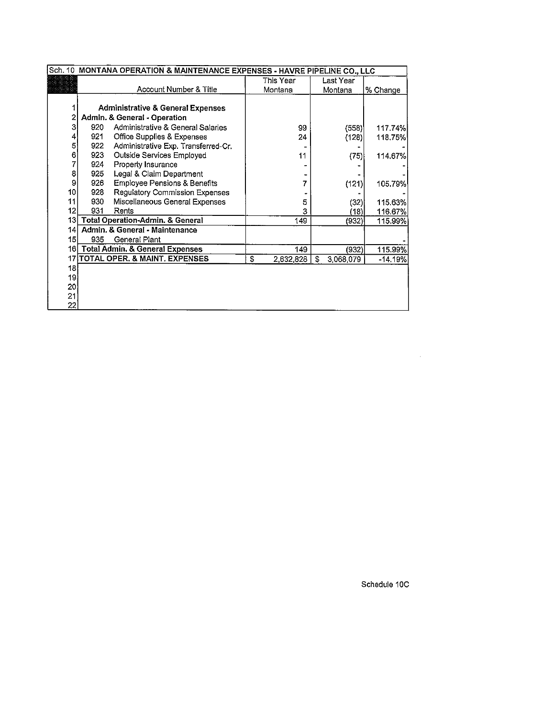| Sch. 10 MONTANA OPERATION & MAINTENANCE EXPENSES - HAVRE PIPELINE CO., LLC |     |                                              |                 |                |           |  |  |  |
|----------------------------------------------------------------------------|-----|----------------------------------------------|-----------------|----------------|-----------|--|--|--|
|                                                                            |     |                                              | This Year       | Last Year      |           |  |  |  |
|                                                                            |     | Account Number & Title                       | Montana         | Montana        | % Change  |  |  |  |
|                                                                            |     |                                              |                 |                |           |  |  |  |
|                                                                            |     | <b>Administrative &amp; General Expenses</b> |                 |                |           |  |  |  |
| 2                                                                          |     | Admin. & General - Operation                 |                 |                |           |  |  |  |
| 3                                                                          | 920 | Administrative & General Salaries            | 99              | (558)          | 117.74%   |  |  |  |
| 4                                                                          | 921 | Office Supplies & Expenses                   | 24              | (128)          | 118.75%   |  |  |  |
| 5                                                                          | 922 | Administrative Exp. Transferred-Cr.          |                 |                |           |  |  |  |
| 6                                                                          | 923 | Outside Services Employed                    | 11              | (75)           | 114,67%   |  |  |  |
| 7                                                                          | 924 | Property Insurance                           |                 |                |           |  |  |  |
| 8                                                                          | 925 | Legal & Claim Department                     |                 |                |           |  |  |  |
| 9                                                                          | 926 | <b>Employee Pensions &amp; Benefits</b>      | 7               | (121)          | 105.79%   |  |  |  |
| 10 <sup>1</sup>                                                            | 928 | Regulatory Commission Expenses               |                 |                |           |  |  |  |
| 11                                                                         | 930 | Miscellaneous General Expenses               | 5               | (32)           | 115.63%   |  |  |  |
| 12 <sup>1</sup>                                                            | 931 | Rents                                        | 3               | (18)           | 116.67%   |  |  |  |
| 13                                                                         |     | Total Operation-Admin. & General             | 149             | (932)          | 115.99%   |  |  |  |
| 141                                                                        |     | Admin, & General - Maintenance               |                 |                |           |  |  |  |
| 15                                                                         | 935 | General Plant                                |                 |                |           |  |  |  |
| 16I                                                                        |     | <b>Total Admin. &amp; General Expenses</b>   | 149             | (932)          | 115.99%   |  |  |  |
|                                                                            |     | 17 TOTAL OPER, & MAINT, EXPENSES             | \$<br>2,632,828 | S<br>3,068,079 | $-14.19%$ |  |  |  |
| 18                                                                         |     |                                              |                 |                |           |  |  |  |
| 19                                                                         |     |                                              |                 |                |           |  |  |  |
| 20                                                                         |     |                                              |                 |                |           |  |  |  |
| $21^{\circ}$                                                               |     |                                              |                 |                |           |  |  |  |
| 22                                                                         |     |                                              |                 |                |           |  |  |  |

Schedule 10C

 $\mathcal{L}^{\text{max}}_{\text{max}}$  and  $\mathcal{L}^{\text{max}}_{\text{max}}$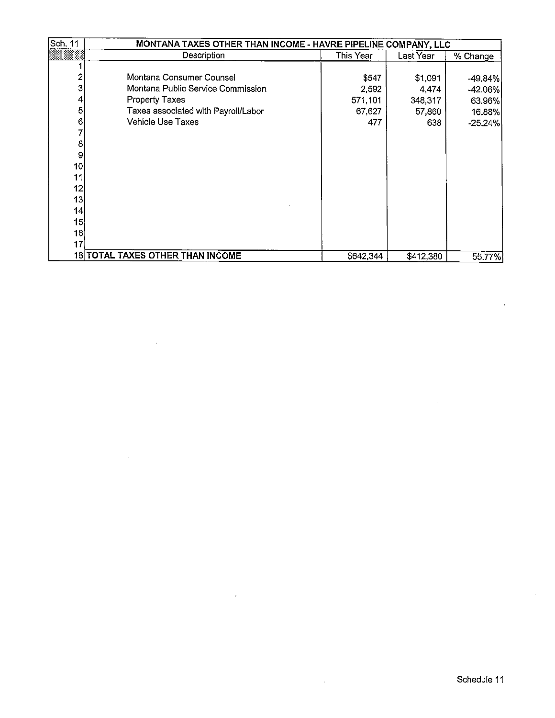| Sch. 11 | MONTANA TAXES OTHER THAN INCOME - HAVRE PIPELINE COMPANY, LLC |           |           |            |  |  |  |  |
|---------|---------------------------------------------------------------|-----------|-----------|------------|--|--|--|--|
|         | Description                                                   | This Year | Last Year | % Change   |  |  |  |  |
|         |                                                               |           |           |            |  |  |  |  |
| 2       | Montana Consumer Counsel                                      | \$547     | \$1,091   | $-49.84\%$ |  |  |  |  |
| 3       | Montana Public Service Commission                             | 2,592     | 4,474     | $-42.06\%$ |  |  |  |  |
| 4       | <b>Property Taxes</b>                                         | 571,101   | 348,317   | 63.96%     |  |  |  |  |
| 5       | Taxes associated with Payroll/Labor                           | 67.627    | 57,860    | 16.88%     |  |  |  |  |
| 6       | <b>Vehicle Use Taxes</b>                                      | 477       | 638       | $-25.24%$  |  |  |  |  |
|         |                                                               |           |           |            |  |  |  |  |
| 8       |                                                               |           |           |            |  |  |  |  |
| 9       |                                                               |           |           |            |  |  |  |  |
| 10      |                                                               |           |           |            |  |  |  |  |
| 11      |                                                               |           |           |            |  |  |  |  |
| 12      |                                                               |           |           |            |  |  |  |  |
| 13      |                                                               |           |           |            |  |  |  |  |
| 14      |                                                               |           |           |            |  |  |  |  |
| 15      |                                                               |           |           |            |  |  |  |  |
| 16      |                                                               |           |           |            |  |  |  |  |
| 17      |                                                               |           |           |            |  |  |  |  |
|         | 18 TOTAL TAXES OTHER THAN INCOME                              | \$642,344 | \$412,380 | 55.77%     |  |  |  |  |

 $\ddot{\phantom{a}}$ 

 $\mathbb{Z}$ 

 $\sim 10^7$ 

 $\bar{a}$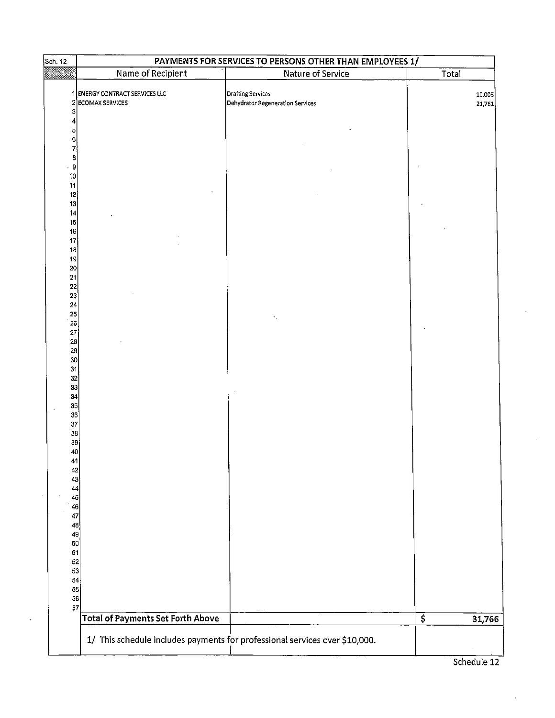|                              | Name of Recipient                                   | Nature of Service                                     |                                 |       |                  |
|------------------------------|-----------------------------------------------------|-------------------------------------------------------|---------------------------------|-------|------------------|
|                              |                                                     |                                                       |                                 | Total |                  |
|                              | 1 ENERGY CONTRACT SERVICES LLC<br>2 ECOMAX SERVICES | Drafting Services<br>Dehydrator Regeneration Services |                                 |       | 10,005<br>21,761 |
| 3<br>5                       |                                                     |                                                       |                                 |       |                  |
| 6<br>7                       |                                                     |                                                       |                                 |       |                  |
| 8<br>9<br>10                 |                                                     |                                                       |                                 |       |                  |
| 11<br>12<br>13               |                                                     |                                                       |                                 |       |                  |
| 14<br>15                     |                                                     |                                                       |                                 |       |                  |
| $16\overline{)}$<br>17<br>18 |                                                     |                                                       |                                 |       |                  |
| 19<br>20                     |                                                     |                                                       |                                 |       |                  |
| 21<br>22<br>23               |                                                     |                                                       |                                 |       |                  |
| 24<br>25<br>26               |                                                     |                                                       |                                 |       |                  |
| 27<br>28                     |                                                     |                                                       |                                 |       |                  |
| 29<br>30<br>31               |                                                     |                                                       |                                 |       |                  |
| 32<br>33<br>34               |                                                     |                                                       |                                 |       |                  |
| 35<br>36                     |                                                     |                                                       |                                 |       |                  |
| 37<br>38<br>39               |                                                     |                                                       |                                 |       |                  |
| 40<br>41                     |                                                     |                                                       |                                 |       |                  |
| 42<br>43<br>44               |                                                     |                                                       |                                 |       |                  |
| 45<br>46<br>47               |                                                     |                                                       |                                 |       |                  |
| 48<br>49                     |                                                     |                                                       |                                 |       |                  |
| 50<br>51<br>52               |                                                     |                                                       |                                 |       |                  |
| 53<br>54<br>55               |                                                     |                                                       |                                 |       |                  |
| 56<br>57                     |                                                     |                                                       |                                 |       |                  |
|                              | <b>Total of Payments Set Forth Above</b>            |                                                       | $\overline{\boldsymbol{\zeta}}$ |       | 31,766           |

Schedule 12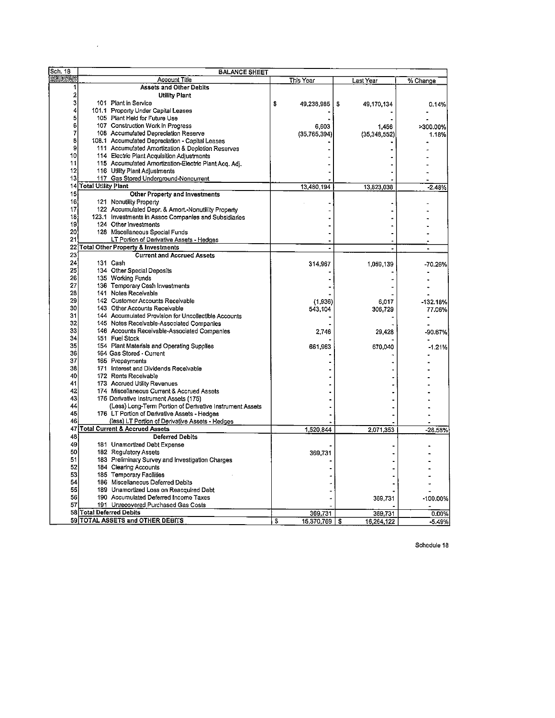| Sch. 18 | <b>BALANCE SHEET</b>     |                                                          |                     |                |            |
|---------|--------------------------|----------------------------------------------------------|---------------------|----------------|------------|
| ----    |                          | Account Title                                            | This Year           | Last Year      | % Change   |
|         |                          | Assets and Other Debits                                  |                     |                |            |
| 2       |                          | <b>Utility Plant</b>                                     |                     |                |            |
| 3       |                          | 101 Plant in Service                                     | \$                  | \$             |            |
| 4       |                          | 101.1 Property Under Capital Leases                      | 49,238,985          | 49,170,134     | 0.14%      |
| 5       |                          | 105 Plant Held for Future Use                            |                     |                |            |
| 6       |                          | 107 Construction Work in Progress                        |                     |                |            |
| 7       |                          |                                                          | 6,603               | 1,456          | >300.00%   |
| 8       |                          | 108 Accumulated Depreciation Reserve                     | (35, 765, 394)      | (35, 348, 552) | 1.18%      |
| 9       |                          | 108.1 Accumulated Depreclation - Capital Leases          |                     |                |            |
|         |                          | 111 Accumulated Amortization & Depletion Reserves        |                     |                |            |
| 10      |                          | 114 Electric Plant Acquisition Adjustments               |                     |                |            |
| 11      |                          | 115 Accumulated Amortization-Electric Plant Acq. Adj.    |                     |                |            |
| 12      |                          | 116 Utility Plant Adjustments                            |                     |                |            |
| 13      |                          | 117 Gas Stored Underground-Noncurrent                    |                     |                |            |
|         | 14 Total Utility Plant   |                                                          | 13,480,194          | 13,823,038     | $-2.48%$   |
| 15      |                          | Other Property and Investments                           |                     |                |            |
| 16      |                          | 121 Nonutility Property                                  |                     |                |            |
| 17      |                          | 122 Accumulated Depr. & Amort.-Nonutiliity Property      |                     |                |            |
| 18      |                          | 123.1 Investments in Assoc Companies and Subsidiaries    |                     |                |            |
| 19      |                          | 124 Other Investments                                    |                     |                |            |
| 20      |                          | 128 Miscellaneous Special Funds                          |                     |                |            |
| 21      |                          | LT Portion of Derivative Assets - Hedges                 |                     |                |            |
| 22      |                          | <b>Total Other Property &amp; Investments</b>            |                     |                |            |
| 23      |                          | <b>Current and Accrued Assets</b>                        |                     |                |            |
| 24      |                          |                                                          |                     |                |            |
| 25      |                          | 131 Cash                                                 | 314,967             | 1,059,139      | -70.26%    |
|         |                          | 134 Other Special Deposits                               |                     |                |            |
| 26      |                          | 135 Working Funds                                        |                     |                |            |
| 27      |                          | 136 Temporary Cash Investments                           |                     |                |            |
| 28      |                          | 141 Notes Receivable                                     |                     |                |            |
| 29      |                          | 142 Customer Accounts Receivable                         | (1.936)             | 6.017          | $-132.18%$ |
| 30      |                          | 143 Other Accounts Receivable                            | 543,104             | 306,729        | 77.06%     |
| 31      |                          | 144 Accumulated Provision for Uncollectible Accounts     |                     |                |            |
| 32      |                          | 145 Notes Receivable-Associated Companies                |                     |                |            |
| 33      |                          | 146 Accounts Receivable-Associated Companies             | 2,746               | 29.428         | -90.67%    |
| 34      |                          | 151 Fuel Stock                                           |                     |                |            |
| 35      |                          | 154 Plant Materials and Operating Supplies               | 661,963             | 670,040        | $-1.21%$   |
| 36      |                          | 164 Gas Stored - Current                                 |                     |                |            |
| 37      |                          | 165 Prepayments                                          |                     |                |            |
| 38      |                          | 171 Interest and Dividends Receivable                    |                     |                |            |
| 40      |                          | 172 Rents Receivable                                     |                     |                |            |
| 41      |                          | 173 Accrued Utility Revenues                             |                     |                |            |
| 42      |                          | 174 Miscellaneous Current & Accrued Assets               |                     |                |            |
| 43      |                          | 175 Derivative Instrument Assets (175)                   |                     |                |            |
| 44      |                          | (Less) Long-Term Portion of Derivative Instrument Assets |                     |                |            |
| 45      |                          | 176 LT Portion of Derivative Assets - Hedges             |                     |                |            |
| 46      |                          |                                                          |                     |                |            |
| 47      |                          | (less) LT Portion of Derivative Assets - Hedges          |                     |                |            |
|         |                          | Total Current & Accrued Assets                           | 1,520,844           | 2,071,353      | 26,58%     |
| 48      |                          | <b>Deferred Debits</b>                                   |                     |                |            |
| 49      |                          | 181 Unamortized Debt Expense                             |                     |                |            |
| 50      |                          | 182 Regulatory Assets                                    | 369,731             |                |            |
| 51      |                          | 183 Preliminary Survey and Investigation Charges         |                     |                |            |
| 52      |                          | 184 Clearing Accounts                                    |                     |                |            |
| 53      |                          | 185 Temporary Facilities                                 |                     |                |            |
| 54      |                          | 186 Miscellaneous Deferred Debits                        |                     |                |            |
| 55      |                          | 189 Unamortized Loss on Reacquired Debt                  |                     |                |            |
| 56      |                          | 190 Accumulated Deferred Income Taxes                    |                     | 369,731        | -100.00%   |
| 57      |                          | 191 Unrecovered Purchased Gas Costs                      |                     |                |            |
|         | 58 Total Deferred Debits |                                                          | 369,731             | 369.731        | 0.00%      |
|         |                          | 59 TOTAL ASSETS and OTHER DEBITS                         | \$<br>15,370,769 \$ | 16,264,122     | $-5.49%$   |
|         |                          |                                                          |                     |                |            |

 $\hat{\boldsymbol{\epsilon}}$ 

Schedule 18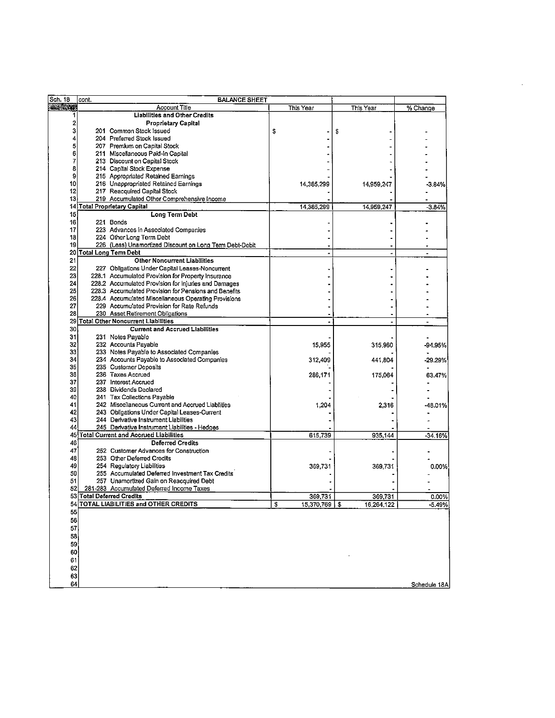| Sch. 18        | cont. | <b>BALANCE SHEET</b>                                    |                     |            |              |
|----------------|-------|---------------------------------------------------------|---------------------|------------|--------------|
| <b>ALC: UN</b> |       | <b>Account Title</b>                                    | This Year           | This Year  | % Change     |
| 1              |       | <b>Liabilities and Other Credits</b>                    |                     |            |              |
| 2              |       | <b>Proprietary Capital</b>                              |                     |            |              |
| 3              |       | 201 Common Stock Issued                                 | \$                  | \$         |              |
| 4              |       | 204 Preferred Stock Issued                              |                     |            |              |
| 5              |       | 207 Premium on Capital Stock                            |                     |            |              |
| 6              |       | 211 Miscellaneous Paid-In Capital                       |                     |            |              |
| 7              |       | 213 Discount on Capital Stock                           |                     |            |              |
| 8              |       | 214 Capital Stock Expense                               |                     |            |              |
| 9              |       | 215 Appropriated Retained Earnings                      |                     |            |              |
| 10             |       | 216 Unappropriated Retained Earnings                    | 14,385,299          | 14,959,247 | $-3.84%$     |
| 12             |       | 217 Reacquired Capital Stock                            |                     |            |              |
| 13             |       | 219 Accumulated Other Comprehensive Income              |                     |            |              |
|                |       | 14 Total Proprietary Capital                            | 14,385,299          | 14,959,247 | $-3.84%$     |
| 15             |       | <b>Long Term Debt</b>                                   |                     |            |              |
| 16             |       | 221 Bonds                                               |                     |            |              |
| 17             |       | 223 Advances in Associated Companies                    |                     |            |              |
| 18             |       | 224 Other Long Term Debt                                |                     |            |              |
| 19             |       | 226 (Less) Unamortized Discount on Long Term Debt-Debit |                     |            |              |
|                |       | 20 Total Long Term Debt                                 |                     |            | ٠            |
| 21             |       | Other Noncurrent Liabilities                            |                     |            |              |
| 22             |       | 227 Obligations Under Capital Leases-Noncurrent         |                     |            |              |
| 23             |       | 228.1 Accumulated Provision for Property Insurance      |                     |            |              |
| 24             |       | 228.2 Accumulated Provision for Injuries and Damages    |                     |            |              |
| 25             |       | 228.3 Accumulated Provision for Pensions and Benefits   |                     |            |              |
| 26             |       | 228.4 Accumulated Miscellaneous Operating Provisions    |                     |            |              |
| 27             |       | 229 Accumulated Provision for Rate Refunds              |                     |            |              |
| 28             |       | 230 Asset Retirement Obligations                        |                     |            |              |
|                |       | 29 Total Other Noncurrent Liabilities                   |                     |            |              |
| 30             |       | <b>Current and Accrued Liabilities</b>                  |                     |            |              |
| 31             |       | 231 Notes Payable                                       |                     |            |              |
| 32             |       | 232 Accounts Payable                                    | 15 955              | 315,960    | -94.95%      |
| 33             |       | 233 Notes Payable to Associated Companies               |                     |            |              |
| 34             |       | 234 Accounts Payable to Associated Companies            | 312,409             | 441,804    | -29.29%      |
| 35             |       | 235 Customer Deposits                                   |                     |            |              |
| 36             |       | 236 Taxes Accrued                                       | 286,171             | 175,064    | 63.47%       |
| 37             |       | 237 Interest Accrued                                    |                     |            |              |
| 39             |       | 238 Dividends Declared                                  |                     |            |              |
| 40             |       | 241 Tax Collections Payable                             |                     |            |              |
| 41             |       | 242 Miscellaneous Current and Accrued Liabilities       | 1,204               | 2,316      | -48.01%      |
| 42             |       | 243 Obligations Under Capital Leases-Current            |                     |            |              |
| 43             |       | 244 Derivative Instrument Liabilities                   |                     |            |              |
| 44             |       | 245 Derivative Instrument Liabilities - Hedges          |                     |            |              |
|                |       | 45 Total Current and Accrued Liabilities                | 615,739             | 935.144    | -34.16%      |
| 46             |       | <b>Deferred Credits</b>                                 |                     |            |              |
| 47             |       | 252 Customer Advances for Construction                  |                     |            |              |
| 48             |       | 253 Other Deferred Credits                              |                     |            |              |
| 49             |       | 254 Regulatory Liabilities                              | 369,731             | 369,731    | 0.00%        |
| 50             |       | 255 Accumulated Deferred Investment Tax Credits         |                     |            |              |
| 51             |       | 257 Unamortized Gain on Reacquired Debt                 |                     |            |              |
| 52             |       | 281-283 Accumulated Deferred Income Taxes               |                     |            |              |
|                |       | 53 Total Deferred Credits                               | 369,731             | 369,731    | 0.00%        |
|                |       | 54 TOTAL LIABILITIES and OTHER CREDITS                  | \$<br>15,370,769 \$ | 16,264,122 | $-5.49%$     |
| 55             |       |                                                         |                     |            |              |
| 56             |       |                                                         |                     |            |              |
| 57             |       |                                                         |                     |            |              |
| 58             |       |                                                         |                     |            |              |
| 59             |       |                                                         |                     |            |              |
| 60             |       |                                                         |                     |            |              |
| 61             |       |                                                         |                     |            |              |
| 62             |       |                                                         |                     |            |              |
| 63             |       |                                                         |                     |            |              |
| 64             |       |                                                         |                     |            | Schedule 18A |
|                |       |                                                         |                     |            |              |

 $\mathcal{L}^{\text{max}}_{\text{max}}$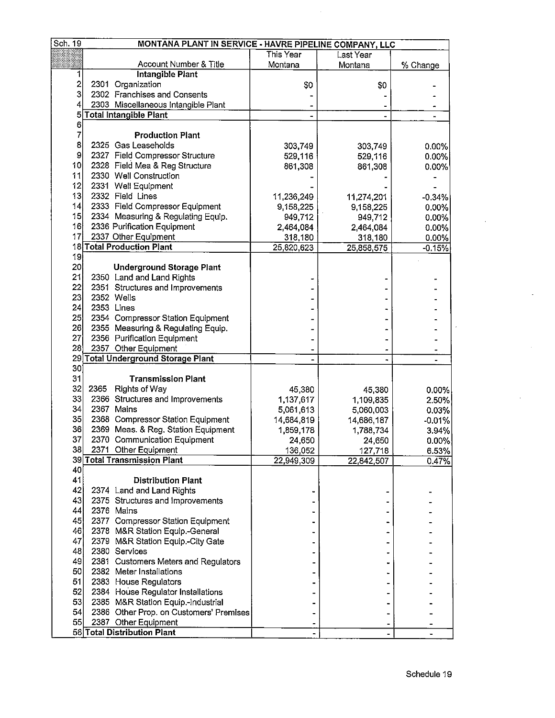| Sch. 19                 |      | MONTANA PLANT IN SERVICE - HAVRE PIPELINE COMPANY, LLC |            |            |                |
|-------------------------|------|--------------------------------------------------------|------------|------------|----------------|
|                         |      |                                                        | This Year  | Last Year  |                |
|                         |      | Account Number & Title                                 | Montana    | Montana    | % Change       |
| 1                       |      | <b>Intangible Plant</b>                                |            |            |                |
| $\overline{\mathbf{c}}$ |      | 2301 Organization                                      | \$0        | \$0        |                |
| 3                       |      | 2302 Franchises and Consents                           |            |            |                |
| 4                       |      | 2303 Miscellaneous Intangible Plant                    |            |            | $\bullet$      |
| $5 \vert$               |      | Total Intangible Plant                                 |            |            |                |
| 6                       |      |                                                        |            |            |                |
| 7                       |      | <b>Production Plant</b>                                |            |            |                |
| 8                       |      | 2325 Gas Leaseholds                                    | 303,749    | 303,749    | 0.00%          |
| 9                       |      | 2327 Field Compressor Structure                        | 529,116    | 529,116    | 0.00%          |
| 10                      |      | 2328 Field Mea & Reg Structure                         | 861,308    | 861,308    | $0.00\%$       |
| 11                      |      | 2330 Well Construction                                 |            |            |                |
| 12                      |      | 2331 Well Equipment                                    |            |            |                |
| 13 <sup>1</sup>         |      | 2332 Field Lines                                       |            |            |                |
| 4                       |      |                                                        | 11,236,249 | 11,274,201 | $-0.34%$       |
|                         |      | 2333 Field Compressor Equipment                        | 9,158,225  | 9,158,225  | 0.00%          |
| 15                      |      | 2334 Measuring & Regulating Equip.                     | 949,712    | 949,712    | $0.00\%$       |
| 16                      |      | 2336 Purification Equipment                            | 2,464,084  | 2,464,084  | 0.00%          |
| 17                      |      | 2337 Other Equipment                                   | 318,180    | 318,180    | 0.00%          |
|                         |      | <b>18 Total Production Plant</b>                       | 25,820,623 | 25,858,575 | $-0.15%$       |
| 19                      |      |                                                        |            |            |                |
| 20 <sup>1</sup>         |      | <b>Underground Storage Plant</b>                       |            |            |                |
| 21                      |      | 2350 Land and Land Rights                              |            |            |                |
| 22                      |      | 2351 Structures and Improvements                       |            |            |                |
| 23                      |      | 2352 Wells                                             |            |            |                |
| 24                      |      | 2353 Lines                                             |            |            |                |
| 25                      |      | 2354 Compressor Station Equipment                      |            |            |                |
| 26                      |      | 2355 Measuring & Regulating Equip.                     |            |            |                |
| 27                      |      | 2356 Purification Equipment                            |            |            |                |
| 28                      |      | 2357 Other Equipment                                   |            |            |                |
|                         |      | 29 Total Underground Storage Plant                     |            |            |                |
| 30 <sub>2</sub>         |      |                                                        |            |            |                |
| 31                      |      | <b>Transmission Plant</b>                              |            |            |                |
| 32                      | 2365 | <b>Rights of Way</b>                                   | 45,380     | 45,380     | 0.00%          |
| 33                      |      | 2366 Structures and Improvements                       | 1,137,617  | 1,109,835  | $2.50\%$       |
| 34                      |      | 2367 Mains                                             | 5,061,613  | 5,060,003  | 0.03%          |
| 35                      |      | 2368 Compressor Station Equipment                      | 14,684,819 | 14,686,187 | $-0.01%$       |
| 36                      |      | 2369 Meas. & Reg. Station Equipment                    | 1,859,178  | 1,788,734  | 3.94%          |
| 37                      |      | 2370 Communication Equipment                           | 24,650     | 24,650     | $0.00\%$       |
| 38                      |      | 2371 Other Equipment                                   | 136,052    | 127,718    |                |
|                         |      | 39 Total Transmission Plant                            | 22,949,309 | 22,842,507 | 6.53%<br>0.47% |
| 40                      |      |                                                        |            |            |                |
| 41                      |      | <b>Distribution Plant</b>                              |            |            |                |
| 42                      |      | 2374 Land and Land Rights                              |            |            |                |
| 43                      |      | 2375 Structures and Improvements                       |            |            |                |
| 44                      |      | 2376 Mains                                             |            |            |                |
|                         |      |                                                        |            |            |                |
| 45                      |      | 2377 Compressor Station Equipment                      |            |            |                |
| 46                      |      | 2378 M&R Station Equip.-General                        |            |            |                |
| 47                      |      | 2379 M&R Station Equip.-City Gate                      |            |            |                |
| 48                      |      | 2380 Services                                          |            |            |                |
| 49                      |      | 2381 Customers Meters and Regulators                   |            |            |                |
| 50                      |      | 2382 Meter Installations                               |            |            |                |
| 51                      |      | 2383 House Regulators                                  |            |            |                |
| 52                      |      | 2384 House Regulator Installations                     |            |            |                |
| 53                      |      | 2385 M&R Station Equip.-Industrial                     |            |            |                |
| 54                      |      | 2386 Other Prop. on Customers' Premises                |            |            |                |
| 55                      |      | 2387 Other Equipment                                   |            |            |                |
|                         |      | 56 Total Distribution Plant                            |            |            |                |

 $\hat{\mathcal{A}}$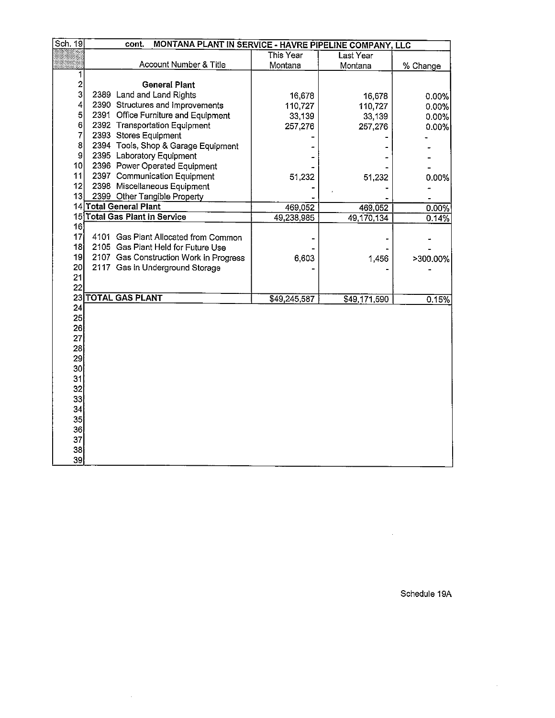| Sch. 19<br>cont.<br>MONTANA PLANT IN SERVICE - HAVRE PIPELINE COMPANY, LLC<br>This Year<br>Last Year<br>Account Number & Title<br>Montana<br>Montana<br>1<br>$\overline{c}$<br><b>General Plant</b><br>3<br>2389 Land and Land Rights<br>16,678<br>16,678<br>4<br>2390 Structures and Improvements<br>110,727<br>110,727<br>5<br>2391 Office Furniture and Equipment<br>33,139<br>33,139<br>6<br>2392 Transportation Equipment<br>257,276<br>257,276<br>$\overline{7}$<br>2393 Stores Equipment<br>8<br>2394 Tools, Shop & Garage Equipment<br>$\boldsymbol{9}$<br>2395 Laboratory Equipment<br>10 <sub>l</sub><br>2396 Power Operated Equipment<br>11<br>2397 Communication Equipment<br>51,232<br>51,232<br>12 <br>2398 Miscellaneous Equipment<br>13<br>2399 Other Tangible Property<br>14 Total General Plant<br>469,052<br>469,052 | % Change<br>0.00%<br>0.00%<br>0.00%<br>0.00% |
|-----------------------------------------------------------------------------------------------------------------------------------------------------------------------------------------------------------------------------------------------------------------------------------------------------------------------------------------------------------------------------------------------------------------------------------------------------------------------------------------------------------------------------------------------------------------------------------------------------------------------------------------------------------------------------------------------------------------------------------------------------------------------------------------------------------------------------------------|----------------------------------------------|
|                                                                                                                                                                                                                                                                                                                                                                                                                                                                                                                                                                                                                                                                                                                                                                                                                                         |                                              |
|                                                                                                                                                                                                                                                                                                                                                                                                                                                                                                                                                                                                                                                                                                                                                                                                                                         |                                              |
|                                                                                                                                                                                                                                                                                                                                                                                                                                                                                                                                                                                                                                                                                                                                                                                                                                         |                                              |
|                                                                                                                                                                                                                                                                                                                                                                                                                                                                                                                                                                                                                                                                                                                                                                                                                                         |                                              |
|                                                                                                                                                                                                                                                                                                                                                                                                                                                                                                                                                                                                                                                                                                                                                                                                                                         |                                              |
|                                                                                                                                                                                                                                                                                                                                                                                                                                                                                                                                                                                                                                                                                                                                                                                                                                         |                                              |
|                                                                                                                                                                                                                                                                                                                                                                                                                                                                                                                                                                                                                                                                                                                                                                                                                                         |                                              |
|                                                                                                                                                                                                                                                                                                                                                                                                                                                                                                                                                                                                                                                                                                                                                                                                                                         |                                              |
|                                                                                                                                                                                                                                                                                                                                                                                                                                                                                                                                                                                                                                                                                                                                                                                                                                         |                                              |
|                                                                                                                                                                                                                                                                                                                                                                                                                                                                                                                                                                                                                                                                                                                                                                                                                                         |                                              |
|                                                                                                                                                                                                                                                                                                                                                                                                                                                                                                                                                                                                                                                                                                                                                                                                                                         |                                              |
|                                                                                                                                                                                                                                                                                                                                                                                                                                                                                                                                                                                                                                                                                                                                                                                                                                         |                                              |
|                                                                                                                                                                                                                                                                                                                                                                                                                                                                                                                                                                                                                                                                                                                                                                                                                                         |                                              |
|                                                                                                                                                                                                                                                                                                                                                                                                                                                                                                                                                                                                                                                                                                                                                                                                                                         | 0.00%                                        |
|                                                                                                                                                                                                                                                                                                                                                                                                                                                                                                                                                                                                                                                                                                                                                                                                                                         |                                              |
|                                                                                                                                                                                                                                                                                                                                                                                                                                                                                                                                                                                                                                                                                                                                                                                                                                         |                                              |
| 15 Total Gas Plant in Service                                                                                                                                                                                                                                                                                                                                                                                                                                                                                                                                                                                                                                                                                                                                                                                                           | 0.00%                                        |
| 49,238,985<br>49,170,134<br>16                                                                                                                                                                                                                                                                                                                                                                                                                                                                                                                                                                                                                                                                                                                                                                                                          | 0.14%                                        |
| 17<br>4101 Gas Plant Allocated from Common                                                                                                                                                                                                                                                                                                                                                                                                                                                                                                                                                                                                                                                                                                                                                                                              |                                              |
| 18<br>2105 Gas Plant Held for Future Use                                                                                                                                                                                                                                                                                                                                                                                                                                                                                                                                                                                                                                                                                                                                                                                                |                                              |
| 19<br>2107 Gas Construction Work in Progress<br>6,603                                                                                                                                                                                                                                                                                                                                                                                                                                                                                                                                                                                                                                                                                                                                                                                   |                                              |
| 1,456<br>20 <sub>l</sub><br>2117 Gas in Underground Storage                                                                                                                                                                                                                                                                                                                                                                                                                                                                                                                                                                                                                                                                                                                                                                             | >300.00%                                     |
| 21                                                                                                                                                                                                                                                                                                                                                                                                                                                                                                                                                                                                                                                                                                                                                                                                                                      |                                              |
| 22                                                                                                                                                                                                                                                                                                                                                                                                                                                                                                                                                                                                                                                                                                                                                                                                                                      |                                              |
| 23 TOTAL GAS PLANT<br>\$49,245,587<br>\$49,171,590                                                                                                                                                                                                                                                                                                                                                                                                                                                                                                                                                                                                                                                                                                                                                                                      | 0.15%                                        |
| 24                                                                                                                                                                                                                                                                                                                                                                                                                                                                                                                                                                                                                                                                                                                                                                                                                                      |                                              |
| 25                                                                                                                                                                                                                                                                                                                                                                                                                                                                                                                                                                                                                                                                                                                                                                                                                                      |                                              |
| 26                                                                                                                                                                                                                                                                                                                                                                                                                                                                                                                                                                                                                                                                                                                                                                                                                                      |                                              |
| 27                                                                                                                                                                                                                                                                                                                                                                                                                                                                                                                                                                                                                                                                                                                                                                                                                                      |                                              |
| 28                                                                                                                                                                                                                                                                                                                                                                                                                                                                                                                                                                                                                                                                                                                                                                                                                                      |                                              |
| 29                                                                                                                                                                                                                                                                                                                                                                                                                                                                                                                                                                                                                                                                                                                                                                                                                                      |                                              |
| 30                                                                                                                                                                                                                                                                                                                                                                                                                                                                                                                                                                                                                                                                                                                                                                                                                                      |                                              |
| 31                                                                                                                                                                                                                                                                                                                                                                                                                                                                                                                                                                                                                                                                                                                                                                                                                                      |                                              |
| 32                                                                                                                                                                                                                                                                                                                                                                                                                                                                                                                                                                                                                                                                                                                                                                                                                                      |                                              |
| 33                                                                                                                                                                                                                                                                                                                                                                                                                                                                                                                                                                                                                                                                                                                                                                                                                                      |                                              |
| 34                                                                                                                                                                                                                                                                                                                                                                                                                                                                                                                                                                                                                                                                                                                                                                                                                                      |                                              |
| 35                                                                                                                                                                                                                                                                                                                                                                                                                                                                                                                                                                                                                                                                                                                                                                                                                                      |                                              |
| 36                                                                                                                                                                                                                                                                                                                                                                                                                                                                                                                                                                                                                                                                                                                                                                                                                                      |                                              |
| 37                                                                                                                                                                                                                                                                                                                                                                                                                                                                                                                                                                                                                                                                                                                                                                                                                                      |                                              |
| 38                                                                                                                                                                                                                                                                                                                                                                                                                                                                                                                                                                                                                                                                                                                                                                                                                                      |                                              |
| 39                                                                                                                                                                                                                                                                                                                                                                                                                                                                                                                                                                                                                                                                                                                                                                                                                                      |                                              |

 $\sim 10^6$ 

Schedule 19A

 $\sim 10$ 

 $\sim 400$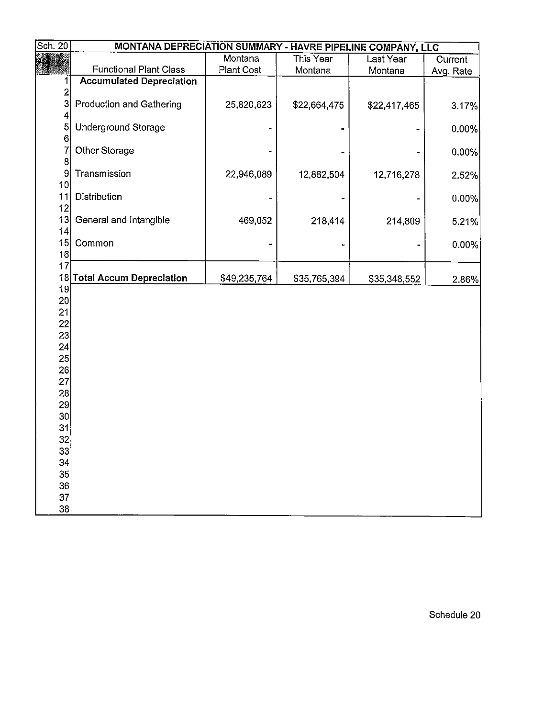| Sch. 20         | MONTANA DEPRECIATION SUMMARY - HAVRE PIPELINE COMPANY, LLC |                   |              |              |           |
|-----------------|------------------------------------------------------------|-------------------|--------------|--------------|-----------|
|                 |                                                            | Montana           | This Year    | Last Year    | Current   |
|                 | <b>Functional Plant Class</b>                              | <b>Plant Cost</b> | Montana      | Montana      | Avg. Rate |
| 1               | <b>Accumulated Depreciation</b>                            |                   |              |              |           |
| $\overline{c}$  |                                                            |                   |              |              |           |
| 3               | Production and Gathering                                   | 25,820,623        | \$22,664,475 | \$22,417,465 | 3.17%     |
| 4               |                                                            |                   |              |              |           |
| 5<br>6          | Underground Storage                                        |                   |              |              | 0.00%     |
|                 | Other Storage                                              |                   |              |              | $0.00\%$  |
| 8               |                                                            |                   |              |              |           |
| 9               | Transmission                                               | 22,946,089        | 12,882,504   | 12,716,278   | 2.52%     |
| 10              |                                                            |                   |              |              |           |
| 11              | Distribution                                               |                   |              |              | 0.00%     |
| 12              |                                                            |                   |              |              |           |
| 13              | General and Intangible                                     | 469,052           | 218,414      | 214,809      | 5.21%     |
| 4               |                                                            |                   |              |              |           |
| 15<br>16        | Common                                                     |                   |              |              | 0.00%     |
| 17              |                                                            |                   |              |              |           |
|                 | 18 Total Accum Depreciation                                | \$49,235,764      | \$35,765,394 | \$35,348,552 | 2.86%     |
| 19              |                                                            |                   |              |              |           |
| 20 <sup>2</sup> |                                                            |                   |              |              |           |
| 21              |                                                            |                   |              |              |           |
| 22              |                                                            |                   |              |              |           |
| 23<br>24        |                                                            |                   |              |              |           |
| 25              |                                                            |                   |              |              |           |
| 26              |                                                            |                   |              |              |           |
| 27              |                                                            |                   |              |              |           |
| 28              |                                                            |                   |              |              |           |
| 29              |                                                            |                   |              |              |           |
| 30 <sup>°</sup> |                                                            |                   |              |              |           |
| 31              |                                                            |                   |              |              |           |
| 32              |                                                            |                   |              |              |           |
| 33<br>34        |                                                            |                   |              |              |           |
| 35              |                                                            |                   |              |              |           |
| 36              |                                                            |                   |              |              |           |
| 37              |                                                            |                   |              |              |           |
| 38              |                                                            |                   |              |              |           |

 $\ddot{\phantom{a}}$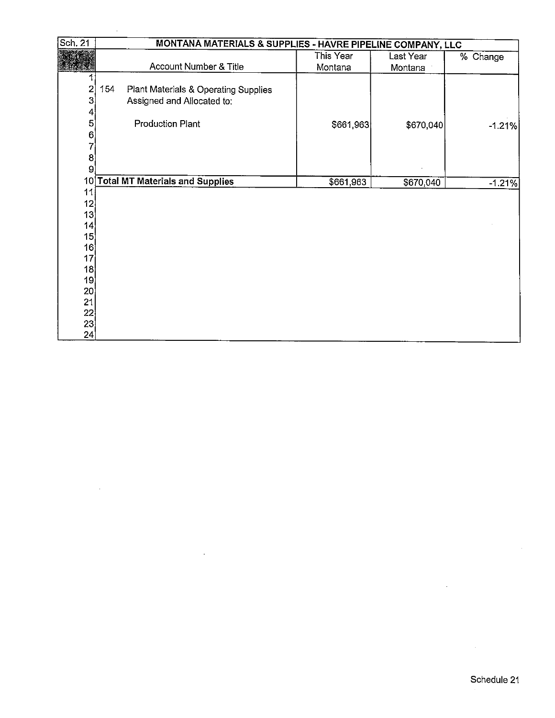| Sch. 21                 |     | MONTANA MATERIALS & SUPPLIES - HAVRE PIPELINE COMPANY, LLC |           |           |          |
|-------------------------|-----|------------------------------------------------------------|-----------|-----------|----------|
|                         |     |                                                            | This Year | Last Year | % Change |
|                         |     | Account Number & Title                                     | Montana   | Montana   |          |
|                         |     |                                                            |           |           |          |
| $\overline{\mathbf{c}}$ | 154 | Plant Materials & Operating Supplies                       |           |           |          |
| 3                       |     | Assigned and Allocated to:                                 |           |           |          |
| 4                       |     |                                                            |           |           |          |
| 5                       |     | <b>Production Plant</b>                                    | \$661,963 | \$670,040 | $-1.21%$ |
| 6                       |     |                                                            |           |           |          |
| 7                       |     |                                                            |           |           |          |
| 8                       |     |                                                            |           |           |          |
| 9                       |     |                                                            |           |           |          |
| 10 <sub>1</sub>         |     | <b>Total MT Materials and Supplies</b>                     | \$661,963 | \$670,040 | $-1.21%$ |
| 11                      |     |                                                            |           |           |          |
| 12                      |     |                                                            |           |           |          |
| 13                      |     |                                                            |           |           |          |
| 14                      |     |                                                            |           |           |          |
| 15                      |     |                                                            |           |           |          |
| 16                      |     |                                                            |           |           |          |
| 17                      |     |                                                            |           |           |          |
| 18                      |     |                                                            |           |           |          |
| 19<br>20 <sub>2</sub>   |     |                                                            |           |           |          |
| 21                      |     |                                                            |           |           |          |
| 22                      |     |                                                            |           |           |          |
| 23                      |     |                                                            |           |           |          |
| 24                      |     |                                                            |           |           |          |

 $\overline{\phantom{a}}$ 

 $\mathcal{A}$ 

 $\bar{z}$ 

 $\bar{z}$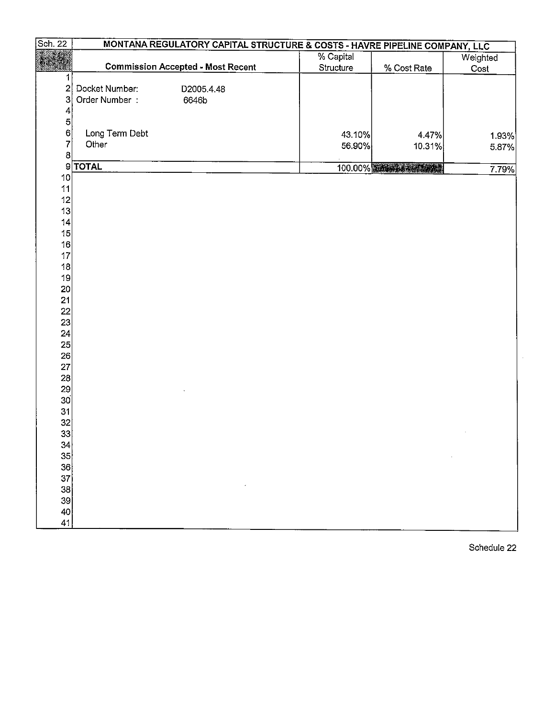| Sch. 22                 |                | MONTANA REGULATORY CAPITAL STRUCTURE & COSTS - HAVRE PIPELINE COMPANY, LLC |           |             |          |
|-------------------------|----------------|----------------------------------------------------------------------------|-----------|-------------|----------|
|                         |                |                                                                            | % Capital |             | Weighted |
|                         |                | <b>Commission Accepted - Most Recent</b>                                   | Structure | % Cost Rate | Cost     |
| 1                       |                |                                                                            |           |             |          |
| $\overline{\mathbf{c}}$ | Docket Number: | D2005.4.48                                                                 |           |             |          |
| $\overline{\mathbf{3}}$ | Order Number:  | 6646b                                                                      |           |             |          |
| 4                       |                |                                                                            |           |             |          |
| $\mathbf{5}$            |                |                                                                            |           |             |          |
| $6\vert$                | Long Term Debt |                                                                            | 43.10%    | 4.47%       | 1.93%    |
| 7                       | Other          |                                                                            | 56.90%    | 10.31%      | 5.87%    |
| 8                       |                |                                                                            |           |             |          |
|                         | 9 <b>TOTAL</b> |                                                                            |           | 100.00%     | 7.79%    |
| 10                      |                |                                                                            |           |             |          |
| 11                      |                |                                                                            |           |             |          |
| 12                      |                |                                                                            |           |             |          |
| 13                      |                |                                                                            |           |             |          |
| 14                      |                |                                                                            |           |             |          |
| 15                      |                |                                                                            |           |             |          |
| 16<br>17                |                |                                                                            |           |             |          |
| 18                      |                |                                                                            |           |             |          |
| 19                      |                |                                                                            |           |             |          |
| 20                      |                |                                                                            |           |             |          |
| 21                      |                |                                                                            |           |             |          |
|                         |                |                                                                            |           |             |          |
| 22<br>23                |                |                                                                            |           |             |          |
| 24                      |                |                                                                            |           |             |          |
| 25                      |                |                                                                            |           |             |          |
| 26                      |                |                                                                            |           |             |          |
| 27                      |                |                                                                            |           |             |          |
| 28                      |                |                                                                            |           |             |          |
| 29                      |                |                                                                            |           |             |          |
| 30 <sup>1</sup>         |                |                                                                            |           |             |          |
| 31                      |                |                                                                            |           |             |          |
| $32\overline{)}$        |                |                                                                            |           |             |          |
| 33                      |                |                                                                            |           |             |          |
| 34                      |                |                                                                            |           |             |          |
| 35                      |                |                                                                            |           |             |          |
| 36                      |                |                                                                            |           |             |          |
| 37                      |                |                                                                            |           |             |          |
| 38                      |                |                                                                            |           |             |          |
| 39                      |                |                                                                            |           |             |          |
| 40                      |                |                                                                            |           |             |          |
| 41                      |                |                                                                            |           |             |          |

Schedule 22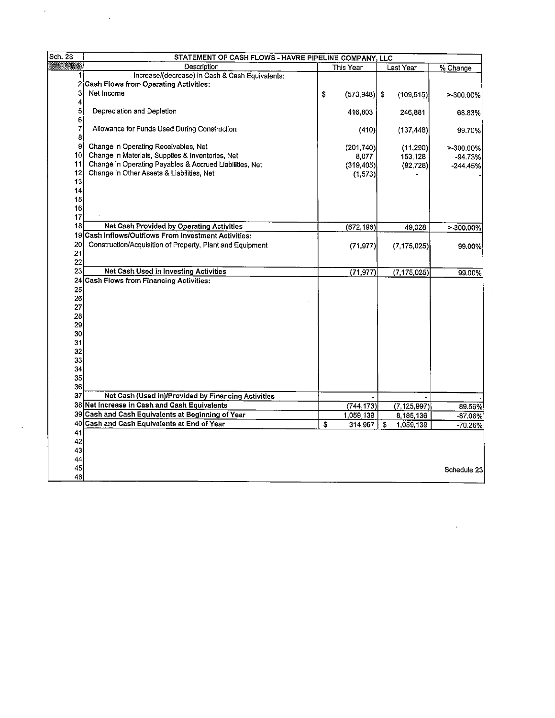| $\sqrt{\text{Sch. }23}$ | STATEMENT OF CASH FLOWS - HAVRE PIPELINE COMPANY, LLC     |    |                 |                 |             |  |  |
|-------------------------|-----------------------------------------------------------|----|-----------------|-----------------|-------------|--|--|
|                         | Description                                               |    | This Year       | Last Year       | % Change    |  |  |
|                         | Increase/(decrease) in Cash & Cash Equivalents:           |    |                 |                 |             |  |  |
| 2                       | <b>Cash Flows from Operating Activities:</b>              |    |                 |                 |             |  |  |
| 3                       | Net Income                                                | \$ | $(573, 948)$ \$ | (109, 515)      | >-300.00%   |  |  |
| 4                       |                                                           |    |                 |                 |             |  |  |
| 5                       | Depreciation and Depletion                                |    | 416,803         | 246,881         | 68.83%      |  |  |
| 6                       |                                                           |    |                 |                 |             |  |  |
| $\overline{7}$          | Allowance for Funds Used During Construction              |    | (410)           | (137, 448)      | 99.70%      |  |  |
| 8                       |                                                           |    |                 |                 |             |  |  |
| 9                       | Change in Operating Receivables, Net                      |    | (201, 740)      | (11, 290)       | >-300.00%   |  |  |
| 10 I                    | Change in Materials, Supplies & Inventories, Net          |    | 8,077           | 153,128         | $-94.73%$   |  |  |
| 11                      | Change in Operating Payables & Accrued Liabilities, Net   |    | (319, 405)      | (92, 728)       | $-244.45%$  |  |  |
| 12                      | Change in Other Assets & Liabilities, Net                 |    | (1, 573)        |                 |             |  |  |
| 13                      |                                                           |    |                 |                 |             |  |  |
| 14                      |                                                           |    |                 |                 |             |  |  |
| 15                      |                                                           |    |                 |                 |             |  |  |
| 16<br>17                |                                                           |    |                 |                 |             |  |  |
| 18                      | Net Cash Provided by Operating Activities                 |    |                 |                 |             |  |  |
| 19                      | Cash Inflows/Outflows From Investment Activities:         |    | (672, 196)      | 49.028          | >-300.00%   |  |  |
| 20                      |                                                           |    |                 |                 |             |  |  |
| 21                      | Construction/Acquisition of Property, Plant and Equipment |    | (71, 977)       | (7, 175, 025)   | 99.00%      |  |  |
| 22                      |                                                           |    |                 |                 |             |  |  |
| 23                      | Net Cash Used in Investing Activities                     |    |                 |                 |             |  |  |
|                         | 24 Cash Flows from Financing Activities:                  |    | (71, 977)       | (7, 175, 025)   | 99.00%      |  |  |
| 25                      |                                                           |    |                 |                 |             |  |  |
| 26                      |                                                           |    |                 |                 |             |  |  |
| 27                      |                                                           |    |                 |                 |             |  |  |
| 28                      |                                                           |    |                 |                 |             |  |  |
| 29                      |                                                           |    |                 |                 |             |  |  |
| 30                      |                                                           |    |                 |                 |             |  |  |
| 31                      |                                                           |    |                 |                 |             |  |  |
| 32                      |                                                           |    |                 |                 |             |  |  |
| 33                      |                                                           |    |                 |                 |             |  |  |
| 34                      |                                                           |    |                 |                 |             |  |  |
| 35                      |                                                           |    |                 |                 |             |  |  |
| 36                      |                                                           |    |                 |                 |             |  |  |
| 37                      | Net Cash (Used in)/Provided by Financing Activities       |    |                 |                 |             |  |  |
|                         | 38 Net Increase in Cash and Cash Equivalents              |    | (744, 173)      | (7.125, 997)    | 89.56%      |  |  |
|                         | 39 Cash and Cash Equivalents at Beginning of Year         |    | 1,059,139       | 8,185,136       | -87.06%     |  |  |
| 40                      | Cash and Cash Equivalents at End of Year                  | \$ | 314,967         | 1,059,139<br>\$ | -70.26%     |  |  |
| 41                      |                                                           |    |                 |                 |             |  |  |
| 42                      |                                                           |    |                 |                 |             |  |  |
| 43                      |                                                           |    |                 |                 |             |  |  |
| 44                      |                                                           |    |                 |                 |             |  |  |
|                         |                                                           |    |                 |                 | Schedule 23 |  |  |
| 45                      |                                                           |    |                 |                 |             |  |  |

 $\label{eq:2.1} \frac{1}{\sqrt{2\pi}}\int_{\mathbb{R}^3}\frac{1}{\sqrt{2\pi}}\left(\frac{1}{\sqrt{2\pi}}\right)^2\frac{1}{\sqrt{2\pi}}\int_{\mathbb{R}^3}\frac{1}{\sqrt{2\pi}}\left(\frac{1}{\sqrt{2\pi}}\right)^2\frac{1}{\sqrt{2\pi}}\frac{1}{\sqrt{2\pi}}\frac{1}{\sqrt{2\pi}}\frac{1}{\sqrt{2\pi}}\frac{1}{\sqrt{2\pi}}\frac{1}{\sqrt{2\pi}}\frac{1}{\sqrt{2\pi}}\frac{1}{\sqrt{2\pi}}\frac{1}{\sqrt{2$ 

 $\label{eq:2.1} \frac{1}{\sqrt{2}}\sum_{i=1}^n\frac{1}{\sqrt{2}}\sum_{i=1}^n\frac{1}{\sqrt{2}}\sum_{i=1}^n\frac{1}{\sqrt{2}}\sum_{i=1}^n\frac{1}{\sqrt{2}}\sum_{i=1}^n\frac{1}{\sqrt{2}}\sum_{i=1}^n\frac{1}{\sqrt{2}}\sum_{i=1}^n\frac{1}{\sqrt{2}}\sum_{i=1}^n\frac{1}{\sqrt{2}}\sum_{i=1}^n\frac{1}{\sqrt{2}}\sum_{i=1}^n\frac{1}{\sqrt{2}}\sum_{i=1}^n\frac$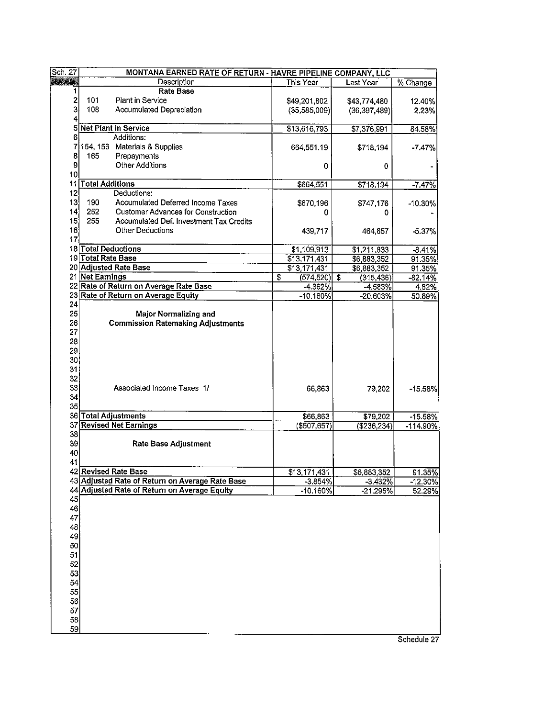| Sch 27                  | MONTANA EARNED RATE OF RETURN - HAVRE PIPELINE COMPANY, LLC |  |                  |                  |                          |
|-------------------------|-------------------------------------------------------------|--|------------------|------------------|--------------------------|
| <b>All All State</b>    | Description                                                 |  | This Year        | Last Year        | % Change                 |
| 1                       | <b>Rate Base</b>                                            |  |                  |                  |                          |
| $\overline{\mathbf{c}}$ | 101<br>Plant in Service                                     |  | \$49,201,802     | \$43,774,480     | 12.40%                   |
| 3                       | 108<br>Accumulated Depreciation                             |  | (35,585,009)     | (36, 397, 489)   | 2.23%                    |
| 4                       |                                                             |  |                  |                  |                          |
| 5                       | Net Plant in Service                                        |  | \$13,616,793     | \$7,376,991      | 84.58%                   |
| 6                       | Additions:                                                  |  |                  |                  |                          |
| 7                       | 154, 156 Materials & Supplies                               |  | 664,551.19       | \$718,194        | $-7.47%$                 |
| 8                       | 165<br>Prepayments                                          |  |                  |                  |                          |
| 9                       | <b>Other Additions</b>                                      |  | 0                | 0                |                          |
| 10 <sup>1</sup>         |                                                             |  |                  |                  |                          |
|                         | 11 Total Additions                                          |  | \$664,551        | \$718.194        | $-7.47%$                 |
| 12                      | Deductions:                                                 |  |                  |                  |                          |
| 13                      | 190<br>Accumulated Deferred Income Taxes                    |  | \$670,196        |                  |                          |
| 14                      | 252<br><b>Customer Advances for Construction</b>            |  |                  | \$747.176        | $-10.30\%$               |
| 15                      | 255<br>Accumulated Def. Investment Tax Credits              |  | 0                | 0                |                          |
|                         |                                                             |  |                  |                  |                          |
| 16                      | <b>Other Deductions</b>                                     |  | 439,717          | 464,657          | $-5.37%$                 |
| 17                      |                                                             |  |                  |                  |                          |
|                         | 18 Total Deductions                                         |  | \$1,109,913      | \$1,211,833      | $-8.41%$                 |
|                         | 19 Total Rate Base                                          |  | \$13,171,431     | \$6,883,352      | 91.35%                   |
|                         | 20 Adjusted Rate Base                                       |  | \$13,171,431     | \$6,883,352      | 91.35%                   |
|                         | 21 Net Earnings                                             |  | \$<br>(574, 520) | \$<br>(315, 436) | $-82.14%$                |
|                         | 22 Rate of Return on Average Rate Base                      |  | $-4.362%$        | $-4.583%$        | 4.82%                    |
|                         | 23 Rate of Return on Average Equity                         |  | $-10.160\%$      | -20.603%         | 50.69%                   |
| 24                      |                                                             |  |                  |                  |                          |
| 25                      | Major Normalizing and                                       |  |                  |                  |                          |
| 26                      | <b>Commission Ratemaking Adjustments</b>                    |  |                  |                  |                          |
| 27                      |                                                             |  |                  |                  |                          |
| 28                      |                                                             |  |                  |                  |                          |
| 29                      |                                                             |  |                  |                  |                          |
| 30 <sub>l</sub>         |                                                             |  |                  |                  |                          |
| 31                      |                                                             |  |                  |                  |                          |
| 32                      |                                                             |  |                  |                  |                          |
| 33                      | Associated Income Taxes 1/                                  |  | 66,863           | 79,202           | $-15.58%$                |
| 34                      |                                                             |  |                  |                  |                          |
| 35                      |                                                             |  |                  |                  |                          |
|                         | 36 Total Adjustments                                        |  |                  |                  |                          |
|                         | 37 Revised Net Earnings                                     |  | \$66,863         | \$79,202         | $-15.58%$<br>$-114.90\%$ |
|                         |                                                             |  | $(*507, 657)$    | (\$236,234)      |                          |
| 38                      |                                                             |  |                  |                  |                          |
| 39                      | <b>Rate Base Adjustment</b>                                 |  |                  |                  |                          |
| 40                      |                                                             |  |                  |                  |                          |
| 41                      |                                                             |  |                  |                  |                          |
|                         | 42 Revised Rate Base                                        |  | \$13,171,431     | \$6,883,352      | 91.35%                   |
|                         | 43 Adjusted Rate of Return on Average Rate Base             |  | $-3.854%$        | $-3.432%$        | $-12.30%$                |
|                         | 44 Adjusted Rate of Return on Average Equity                |  | $-10.160%$       | $-21.295%$       | 52.29%                   |
| 45                      |                                                             |  |                  |                  |                          |
| 46                      |                                                             |  |                  |                  |                          |
| 47                      |                                                             |  |                  |                  |                          |
| 48                      |                                                             |  |                  |                  |                          |
| 49                      |                                                             |  |                  |                  |                          |
| 50                      |                                                             |  |                  |                  |                          |
| 51                      |                                                             |  |                  |                  |                          |
| 52                      |                                                             |  |                  |                  |                          |
| 53                      |                                                             |  |                  |                  |                          |
| 54                      |                                                             |  |                  |                  |                          |
| 55                      |                                                             |  |                  |                  |                          |
| 56                      |                                                             |  |                  |                  |                          |
| 57                      |                                                             |  |                  |                  |                          |
| 58                      |                                                             |  |                  |                  |                          |
|                         |                                                             |  |                  |                  |                          |
| 59                      |                                                             |  |                  |                  |                          |

Schedule 27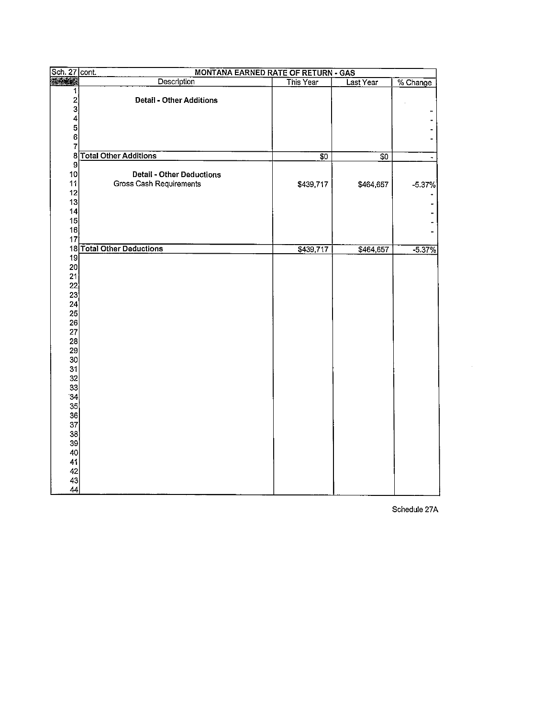| Sch. 27 cont.   | <b>MONTANA EARNED RATE OF RETURN - GAS</b> |                 |           |          |
|-----------------|--------------------------------------------|-----------------|-----------|----------|
| <b>Graph</b>    | Description                                | This Year       | Last Year | % Change |
| 1               |                                            |                 |           |          |
| $\frac{2}{3}$   | <b>Detail - Other Additions</b>            |                 |           |          |
|                 |                                            |                 |           |          |
| 4               |                                            |                 |           |          |
| 5<br>6          |                                            |                 |           |          |
| 7               |                                            |                 |           |          |
|                 | 8 Total Other Additions                    | $\overline{30}$ |           |          |
| 9               |                                            |                 | \$0       |          |
| 10 <sub>l</sub> | <b>Detail - Other Deductions</b>           |                 |           |          |
| 11              | Gross Cash Requirements                    | \$439,717       | \$464,657 | $-5.37%$ |
| 12              |                                            |                 |           |          |
| 13              |                                            |                 |           |          |
| 14              |                                            |                 |           |          |
| 15              |                                            |                 |           |          |
| 16              |                                            |                 |           |          |
| 17              |                                            |                 |           |          |
|                 | 18 Total Other Deductions                  | \$439,717       | \$464,657 | $-5.37%$ |
| 19              |                                            |                 |           |          |
| 20              |                                            |                 |           |          |
| 21              |                                            |                 |           |          |
| 22              |                                            |                 |           |          |
| 23              |                                            |                 |           |          |
| 24              |                                            |                 |           |          |
| 25              |                                            |                 |           |          |
| 26              |                                            |                 |           |          |
| 27              |                                            |                 |           |          |
| 28              |                                            |                 |           |          |
| 29              |                                            |                 |           |          |
| 30              |                                            |                 |           |          |
| 31<br>32        |                                            |                 |           |          |
| 33              |                                            |                 |           |          |
| 34              |                                            |                 |           |          |
| 35 <sup>5</sup> |                                            |                 |           |          |
| 36              |                                            |                 |           |          |
| 37              |                                            |                 |           |          |
| 38              |                                            |                 |           |          |
| 39              |                                            |                 |           |          |
| 40              |                                            |                 |           |          |
| 41              |                                            |                 |           |          |
| 42              |                                            |                 |           |          |
| 43              |                                            |                 |           |          |
| 44              |                                            |                 |           |          |

Schedule 27A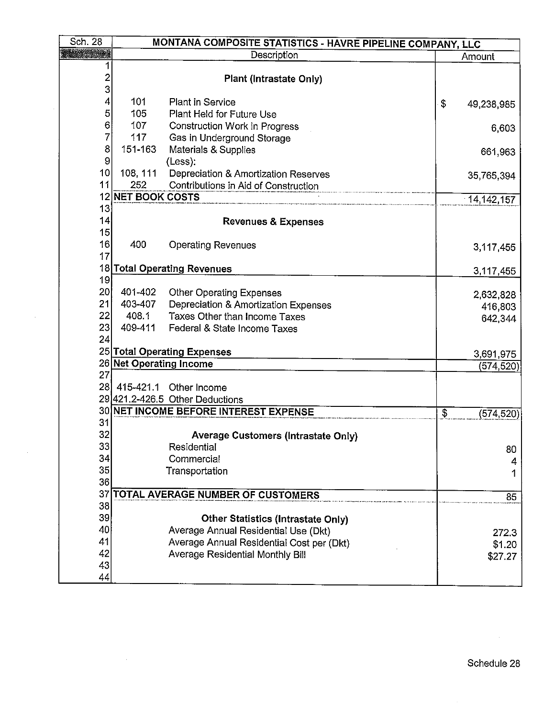| Sch. 28               | MONTANA COMPOSITE STATISTICS - HAVRE PIPELINE COMPANY, LLC |                                            |                         |            |  |
|-----------------------|------------------------------------------------------------|--------------------------------------------|-------------------------|------------|--|
|                       |                                                            | Description                                |                         | Amount     |  |
| $\overline{c}$<br>3   |                                                            | <b>Plant (Intrastate Only)</b>             |                         |            |  |
| 4                     | 101                                                        | <b>Plant in Service</b>                    | \$                      | 49,238,985 |  |
| 5                     | 105                                                        | Plant Held for Future Use                  |                         |            |  |
| 6                     | 107                                                        | <b>Construction Work in Progress</b>       |                         | 6,603      |  |
| 7                     | 117                                                        | Gas in Underground Storage                 |                         |            |  |
| 8                     | 151-163                                                    | Materials & Supplies                       |                         | 661,963    |  |
| $\boldsymbol{9}$      |                                                            | (Less):                                    |                         |            |  |
| 10                    | 108, 111                                                   | Depreciation & Amortization Reserves       |                         | 35,765,394 |  |
| 11                    | 252                                                        | Contributions in Aid of Construction       |                         |            |  |
|                       | 12 NET BOOK COSTS                                          |                                            |                         | 14,142,157 |  |
| 13                    |                                                            |                                            |                         |            |  |
| 14                    |                                                            | <b>Revenues &amp; Expenses</b>             |                         |            |  |
| 15                    |                                                            |                                            |                         |            |  |
| 16                    | 400                                                        | <b>Operating Revenues</b>                  |                         | 3,117,455  |  |
| 17                    |                                                            |                                            |                         |            |  |
|                       |                                                            | 18 Total Operating Revenues                |                         | 3,117,455  |  |
| 19                    |                                                            |                                            |                         |            |  |
| 20 <sup>2</sup><br>21 | 401-402                                                    | <b>Other Operating Expenses</b>            |                         | 2,632,828  |  |
| 22                    | 403-407                                                    | Depreciation & Amortization Expenses       |                         | 416,803    |  |
| 23                    | 408.1<br>409-411                                           | Taxes Other than Income Taxes              |                         | 642,344    |  |
| 24                    |                                                            | Federal & State Income Taxes               |                         |            |  |
|                       |                                                            | 25 Total Operating Expenses                |                         |            |  |
|                       | 26 Net Operating Income                                    |                                            |                         | 3,691,975  |  |
| 27                    |                                                            |                                            |                         | (574,520)  |  |
| <b>28</b>             | 415-421.1                                                  | Other Income                               |                         |            |  |
|                       |                                                            | 29 421.2-426.5 Other Deductions            |                         |            |  |
|                       |                                                            | 30 NET INCOME BEFORE INTEREST EXPENSE      | $\overline{\mathbb{S}}$ |            |  |
| 31                    |                                                            |                                            |                         | (574, 520) |  |
| 32                    |                                                            | <b>Average Customers (Intrastate Only)</b> |                         |            |  |
| 33                    |                                                            | Residential                                |                         | 80         |  |
| 34                    |                                                            | Commercial                                 |                         | 4          |  |
| 35 <sub>l</sub>       |                                                            | Transportation                             |                         | 1          |  |
| 36                    |                                                            |                                            |                         |            |  |
|                       |                                                            | 37 TOTAL AVERAGE NUMBER OF CUSTOMERS       |                         | 85         |  |
| 38                    |                                                            |                                            |                         |            |  |
| 39                    |                                                            | <b>Other Statistics (Intrastate Only)</b>  |                         |            |  |
| 40                    |                                                            | Average Annual Residential Use (Dkt)       |                         | 272.3      |  |
| 41                    |                                                            | Average Annual Residential Cost per (Dkt)  |                         | \$1.20     |  |
| 42                    |                                                            | <b>Average Residential Monthly Bill</b>    |                         | \$27.27    |  |
| 43                    |                                                            |                                            |                         |            |  |
| 44                    |                                                            |                                            |                         |            |  |

 $\sim$   $\sim$ 

 $\sim 10^7$ 

 $\sim$ 

 $\sim$ 

 $\mathcal{L}_{\mathcal{A}}$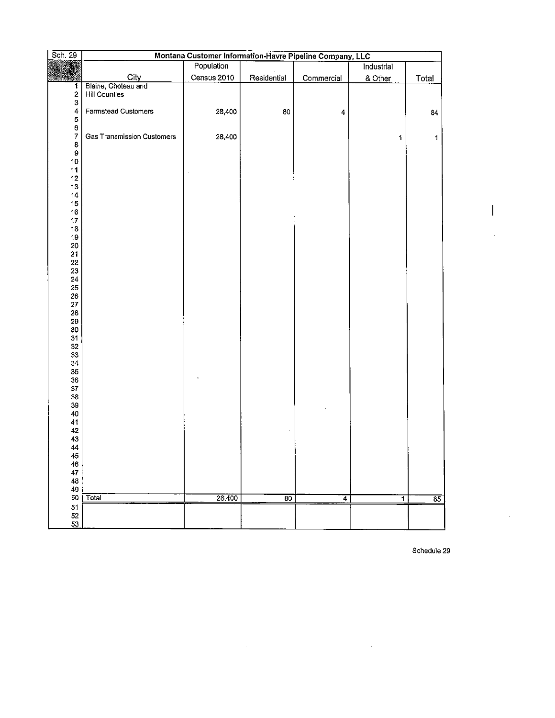| <b>Sch. 29</b>               | Montana Customer Information-Havre Pipeline Company, LLC |             |                 |            |                |              |  |  |  |
|------------------------------|----------------------------------------------------------|-------------|-----------------|------------|----------------|--------------|--|--|--|
|                              | Population<br>Industrial                                 |             |                 |            |                |              |  |  |  |
|                              |                                                          |             |                 |            |                |              |  |  |  |
|                              | City<br>Blaine, Choteau and                              | Census 2010 | Residential     | Commercial | & Other        | <b>Total</b> |  |  |  |
| 1<br>$\overline{\mathbf{c}}$ | Hill Counties                                            |             |                 |            |                |              |  |  |  |
| 3                            |                                                          |             |                 |            |                |              |  |  |  |
| 4                            | Farmstead Customers                                      | 28,400      | 80              | 4          |                | 84           |  |  |  |
| 5                            |                                                          |             |                 |            |                |              |  |  |  |
| 6                            |                                                          |             |                 |            |                |              |  |  |  |
| 7                            | <b>Gas Transmission Customers</b>                        | 28,400      |                 |            | 1              | 1            |  |  |  |
| 8<br>9                       |                                                          |             |                 |            |                |              |  |  |  |
| $10\,$                       |                                                          |             |                 |            |                |              |  |  |  |
| 11                           |                                                          |             |                 |            |                |              |  |  |  |
| 12                           |                                                          |             |                 |            |                |              |  |  |  |
| 13                           |                                                          |             |                 |            |                |              |  |  |  |
| 14                           |                                                          |             |                 |            |                |              |  |  |  |
| $15\,$                       |                                                          |             |                 |            |                |              |  |  |  |
| 16                           |                                                          |             |                 |            |                |              |  |  |  |
| $17\,$<br>18                 |                                                          |             |                 |            |                |              |  |  |  |
| 19                           |                                                          |             |                 |            |                |              |  |  |  |
| 20                           |                                                          |             |                 |            |                |              |  |  |  |
| 21                           |                                                          |             |                 |            |                |              |  |  |  |
| 22                           |                                                          |             |                 |            |                |              |  |  |  |
| 23                           |                                                          |             |                 |            |                |              |  |  |  |
| 24                           |                                                          |             |                 |            |                |              |  |  |  |
| 25                           |                                                          |             |                 |            |                |              |  |  |  |
| 26<br>27                     |                                                          |             |                 |            |                |              |  |  |  |
| 28                           |                                                          |             |                 |            |                |              |  |  |  |
| 29                           |                                                          |             |                 |            |                |              |  |  |  |
| 30                           |                                                          |             |                 |            |                |              |  |  |  |
| 31                           |                                                          |             |                 |            |                |              |  |  |  |
| 32                           |                                                          |             |                 |            |                |              |  |  |  |
| 33                           |                                                          |             |                 |            |                |              |  |  |  |
| 34                           |                                                          |             |                 |            |                |              |  |  |  |
| 35<br>$36\,$                 |                                                          |             |                 |            |                |              |  |  |  |
| ${\bf 37}$                   |                                                          |             |                 |            |                |              |  |  |  |
| 38                           |                                                          |             |                 |            |                |              |  |  |  |
| 39                           |                                                          |             |                 |            |                |              |  |  |  |
| 40                           |                                                          |             |                 |            |                |              |  |  |  |
| 41                           |                                                          |             |                 |            |                |              |  |  |  |
| 42                           |                                                          |             |                 |            |                |              |  |  |  |
| 43<br>44                     |                                                          |             |                 |            |                |              |  |  |  |
| 45                           |                                                          |             |                 |            |                |              |  |  |  |
| 46                           |                                                          |             |                 |            |                |              |  |  |  |
| 47                           |                                                          |             |                 |            |                |              |  |  |  |
| 48                           |                                                          |             |                 |            |                |              |  |  |  |
| 49                           |                                                          |             |                 |            |                |              |  |  |  |
| 50                           | Total                                                    | 28,400      | $\overline{80}$ | 4          | $\overline{1}$ | 85           |  |  |  |
| 51                           |                                                          |             |                 |            |                |              |  |  |  |
| 52<br>53                     |                                                          |             |                 |            |                |              |  |  |  |
|                              |                                                          |             |                 |            |                |              |  |  |  |

 $\sim$ 

**Schedule 29** 

 $\sim$  .

 $\cdot$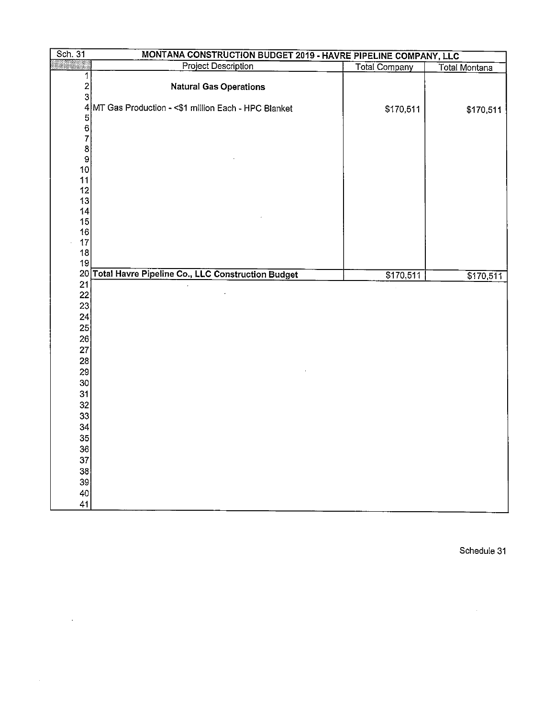| Sch. 31            | MONTANA CONSTRUCTION BUDGET 2019 - HAVRE PIPELINE COMPANY, LLC |                      |                      |
|--------------------|----------------------------------------------------------------|----------------------|----------------------|
|                    | <b>Project Description</b>                                     | <b>Total Company</b> | <b>Total Montana</b> |
| 1<br>$\frac{2}{3}$ | <b>Natural Gas Operations</b>                                  |                      |                      |
|                    | 4 MT Gas Production - < \$1 million Each - HPC Blanket         | \$170,511            | \$170,511            |
| 56789              |                                                                |                      |                      |
| 10                 |                                                                |                      |                      |
| 11<br>12<br>13     |                                                                |                      |                      |
| 14<br>15           |                                                                |                      |                      |
| 16<br>17<br>18     |                                                                |                      |                      |
| 19                 | 20 Total Havre Pipeline Co., LLC Construction Budget           | \$170,511            |                      |
| 21                 |                                                                |                      | \$170,511            |
| 22<br>23           |                                                                |                      |                      |
| 24<br>25           |                                                                |                      |                      |
| 26<br>27           |                                                                |                      |                      |
| 28<br>29           |                                                                |                      |                      |
| 30<br>31           |                                                                |                      |                      |
| 32<br>33           |                                                                |                      |                      |
| 34<br>35           |                                                                |                      |                      |
| 36<br>37           |                                                                |                      |                      |
| 38<br>39           |                                                                |                      |                      |
| 40<br>41           |                                                                |                      |                      |

 $\mathcal{L}^{\text{max}}_{\text{max}}$ 

Schedule 31

 $\mathcal{L}^{\text{max}}_{\text{max}}$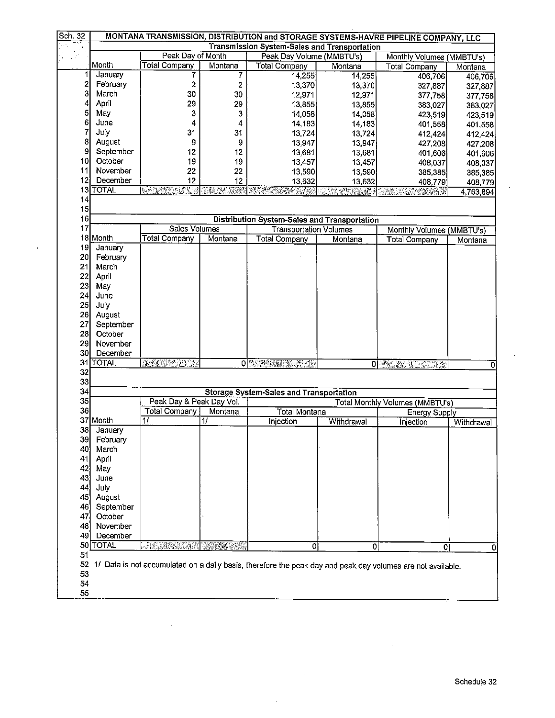| Sch. 32      | MONTANA TRANSMISSION, DISTRIBUTION and STORAGE SYSTEMS-HAVRE PIPELINE COMPANY, LLC |                          |                     |                                                |                                                                                                                                                                                                                                  |                                                                                                                |           |  |  |
|--------------|------------------------------------------------------------------------------------|--------------------------|---------------------|------------------------------------------------|----------------------------------------------------------------------------------------------------------------------------------------------------------------------------------------------------------------------------------|----------------------------------------------------------------------------------------------------------------|-----------|--|--|
|              | <b>Transmission System-Sales and Transportation</b>                                |                          |                     |                                                |                                                                                                                                                                                                                                  |                                                                                                                |           |  |  |
|              |                                                                                    | Peak Day of Month        |                     | Peak Day Volume (MMBTU's)                      | Monthly Volumes (MMBTU's)                                                                                                                                                                                                        |                                                                                                                |           |  |  |
|              | Month                                                                              | <b>Total Company</b>     | Montana             | <b>Total Company</b>                           | Montana                                                                                                                                                                                                                          | <b>Total Company</b>                                                                                           | Montana   |  |  |
| 1            | January                                                                            | 7                        | 7                   | 14,255                                         | 14,255                                                                                                                                                                                                                           | 406,706                                                                                                        | 406,706   |  |  |
| $\mathbf{z}$ | February                                                                           | $\overline{\mathbf{c}}$  | $\mathbf 2$         | 13,370                                         | 13,370                                                                                                                                                                                                                           | 327,887                                                                                                        | 327,887   |  |  |
| 3            | March                                                                              | 30                       | 30                  | 12,971                                         | 12,971                                                                                                                                                                                                                           | 377,758                                                                                                        | 377,758   |  |  |
| 4            | April                                                                              | 29                       | 29                  | 13,855                                         | 13,855                                                                                                                                                                                                                           | 383,027                                                                                                        | 383,027   |  |  |
| 5            | May                                                                                | 3                        | 3                   | 14,058                                         | 14,058                                                                                                                                                                                                                           | 423,519                                                                                                        | 423,519   |  |  |
| 6            | June                                                                               | 4                        | 4                   | 14,183                                         | 14,183                                                                                                                                                                                                                           | 401,558                                                                                                        | 401,558   |  |  |
| 7            | July                                                                               | 31                       | 31                  | 13,724                                         | 13,724                                                                                                                                                                                                                           | 412,424                                                                                                        | 412,424   |  |  |
| 8            | August                                                                             | 9                        | 9                   | 13,947                                         | 13,947                                                                                                                                                                                                                           | 427,208                                                                                                        | 427,208   |  |  |
| 9            | September                                                                          | 12                       | 12                  | 13,681                                         | 13,681                                                                                                                                                                                                                           | 401,606                                                                                                        | 401,606   |  |  |
| 10I          | October                                                                            | 19                       | 19                  | 13,457                                         | 13,457                                                                                                                                                                                                                           | 408,037                                                                                                        | 408,037   |  |  |
| 11           | November                                                                           | 22                       | 22                  | 13,590                                         | 13,590                                                                                                                                                                                                                           | 385,385                                                                                                        | 385,385   |  |  |
| 121          | December                                                                           | 12                       | 12                  | 13,632                                         | 13,632                                                                                                                                                                                                                           | 408,779                                                                                                        | 408,779   |  |  |
|              | 13 TOTAL                                                                           | <u>Saman ing</u>         | <b>RACING</b><br>X. | TENTO DE LA PRODUCTIVA<br>EL COSTAL PRODUCTIVA | The Control Superintendent of the control of the control of the control of the control of the control of the c<br>The control of the control of the control of the control of the control of the control of the control of the c |                                                                                                                | 4,763,894 |  |  |
| 14           |                                                                                    |                          |                     |                                                |                                                                                                                                                                                                                                  |                                                                                                                |           |  |  |
| 15           |                                                                                    |                          |                     |                                                |                                                                                                                                                                                                                                  |                                                                                                                |           |  |  |
| 16           |                                                                                    |                          |                     | Distribution System-Sales and Transportation   |                                                                                                                                                                                                                                  |                                                                                                                |           |  |  |
| 17           |                                                                                    | Sales Volumes            |                     | <b>Transportation Volumes</b>                  |                                                                                                                                                                                                                                  | Monthly Volumes (MMBTU's)                                                                                      |           |  |  |
|              | 18 Month                                                                           | <b>Total Company</b>     | Montana             | <b>Total Company</b>                           | Montana                                                                                                                                                                                                                          | <b>Total Company</b>                                                                                           | Montana   |  |  |
| 19           | January                                                                            |                          |                     |                                                |                                                                                                                                                                                                                                  |                                                                                                                |           |  |  |
| <b>20</b>    | February                                                                           |                          |                     |                                                |                                                                                                                                                                                                                                  |                                                                                                                |           |  |  |
| 21           | March                                                                              |                          |                     |                                                |                                                                                                                                                                                                                                  |                                                                                                                |           |  |  |
| 22           | April                                                                              |                          |                     |                                                |                                                                                                                                                                                                                                  |                                                                                                                |           |  |  |
| 23           | May                                                                                |                          |                     |                                                |                                                                                                                                                                                                                                  |                                                                                                                |           |  |  |
| 24           | June                                                                               |                          |                     |                                                |                                                                                                                                                                                                                                  |                                                                                                                |           |  |  |
| 25           | July                                                                               |                          |                     |                                                |                                                                                                                                                                                                                                  |                                                                                                                |           |  |  |
| 26           | August                                                                             |                          |                     |                                                |                                                                                                                                                                                                                                  |                                                                                                                |           |  |  |
| 27           | September                                                                          |                          |                     |                                                |                                                                                                                                                                                                                                  |                                                                                                                |           |  |  |
| 28           | October                                                                            |                          |                     |                                                |                                                                                                                                                                                                                                  |                                                                                                                |           |  |  |
| 29           | November                                                                           |                          |                     |                                                |                                                                                                                                                                                                                                  |                                                                                                                |           |  |  |
| 30           | December                                                                           |                          |                     |                                                |                                                                                                                                                                                                                                  |                                                                                                                |           |  |  |
|              | 31 TOTAL                                                                           | JANOVNI ZARA             |                     | 0 電話機構 法转让人                                    |                                                                                                                                                                                                                                  | O PASSES TRACTORY                                                                                              | 0         |  |  |
| 32           |                                                                                    |                          |                     |                                                |                                                                                                                                                                                                                                  |                                                                                                                |           |  |  |
| 33           |                                                                                    |                          |                     |                                                |                                                                                                                                                                                                                                  |                                                                                                                |           |  |  |
| 34           |                                                                                    |                          |                     | <b>Storage System-Sales and Transportation</b> |                                                                                                                                                                                                                                  |                                                                                                                |           |  |  |
| 35           |                                                                                    | Peak Day & Peak Day Vol. |                     |                                                |                                                                                                                                                                                                                                  | <b>Total Monthly Volumes (MMBTU's)</b>                                                                         |           |  |  |
| 36           |                                                                                    | <b>Total Company</b>     | Montana             | <b>Total Montana</b>                           |                                                                                                                                                                                                                                  | Energy Supply                                                                                                  |           |  |  |
|              | 37 Month                                                                           | 17                       | 11                  | Injection                                      | Withdrawal                                                                                                                                                                                                                       | Withdrawal<br>Injection                                                                                        |           |  |  |
| 38           | January                                                                            |                          |                     |                                                |                                                                                                                                                                                                                                  |                                                                                                                |           |  |  |
| 39           | February                                                                           |                          |                     |                                                |                                                                                                                                                                                                                                  |                                                                                                                |           |  |  |
| 40           | March                                                                              |                          |                     |                                                |                                                                                                                                                                                                                                  |                                                                                                                |           |  |  |
| 41           | April                                                                              |                          |                     |                                                |                                                                                                                                                                                                                                  |                                                                                                                |           |  |  |
| 42.          | May                                                                                |                          |                     |                                                |                                                                                                                                                                                                                                  |                                                                                                                |           |  |  |
| 43           | June                                                                               |                          |                     |                                                |                                                                                                                                                                                                                                  |                                                                                                                |           |  |  |
| 44           | July                                                                               |                          |                     |                                                |                                                                                                                                                                                                                                  |                                                                                                                |           |  |  |
| 45           | August                                                                             |                          |                     |                                                |                                                                                                                                                                                                                                  |                                                                                                                |           |  |  |
| 46]          | September                                                                          |                          |                     |                                                |                                                                                                                                                                                                                                  |                                                                                                                |           |  |  |
| 47           | October                                                                            |                          |                     |                                                |                                                                                                                                                                                                                                  |                                                                                                                |           |  |  |
| 48           | November                                                                           |                          |                     |                                                |                                                                                                                                                                                                                                  |                                                                                                                |           |  |  |
| 49           | December                                                                           |                          |                     |                                                |                                                                                                                                                                                                                                  |                                                                                                                |           |  |  |
|              | 50 TOTAL                                                                           |                          |                     | $\overline{0}$                                 | 0                                                                                                                                                                                                                                | $\overline{\mathbf{o}}$                                                                                        |           |  |  |
| 51           |                                                                                    |                          |                     |                                                |                                                                                                                                                                                                                                  |                                                                                                                | 0         |  |  |
|              |                                                                                    |                          |                     |                                                |                                                                                                                                                                                                                                  | 52 1/ Data is not accumulated on a daily basis, therefore the peak day and peak day volumes are not available. |           |  |  |
| 53           |                                                                                    |                          |                     |                                                |                                                                                                                                                                                                                                  |                                                                                                                |           |  |  |
| 54           |                                                                                    |                          |                     |                                                |                                                                                                                                                                                                                                  |                                                                                                                |           |  |  |
| 55           |                                                                                    |                          |                     |                                                |                                                                                                                                                                                                                                  |                                                                                                                |           |  |  |
|              |                                                                                    |                          |                     |                                                |                                                                                                                                                                                                                                  |                                                                                                                |           |  |  |

 $\bar{z}$ 

 $\ddot{\phantom{a}}$ 

 $\sim$ 

l,

 $\overline{a}$ 

 $\ddot{\phantom{0}}$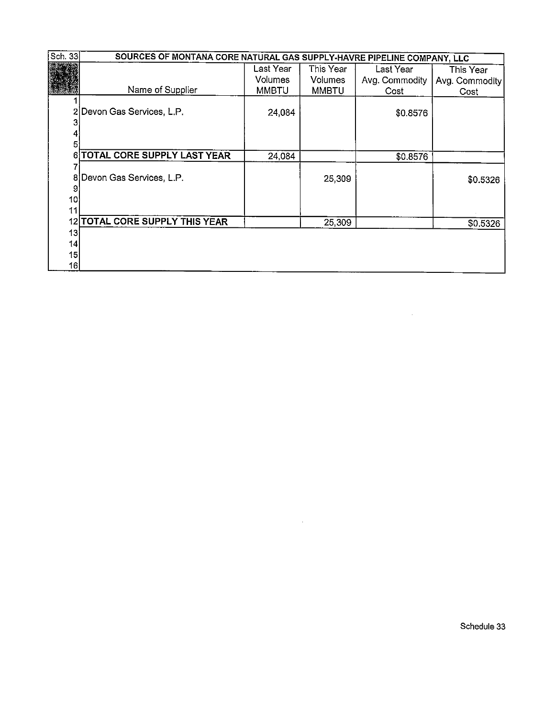| Sch. 33 | SOURCES OF MONTANA CORE NATURAL GAS SUPPLY-HAVRE PIPELINE COMPANY, LLC |                |                |                |                |  |  |  |  |  |
|---------|------------------------------------------------------------------------|----------------|----------------|----------------|----------------|--|--|--|--|--|
|         |                                                                        | Last Year      | This Year      | Last Year      | This Year      |  |  |  |  |  |
|         |                                                                        | <b>Volumes</b> | <b>Volumes</b> | Avg. Commodity | Avg. Commodity |  |  |  |  |  |
|         | Name of Supplier                                                       | <b>MMBTU</b>   | <b>MMBTU</b>   | Cost           | Cost           |  |  |  |  |  |
|         |                                                                        |                |                |                |                |  |  |  |  |  |
|         | 2 Devon Gas Services, L.P.                                             | 24,084         |                | \$0.8576       |                |  |  |  |  |  |
|         |                                                                        |                |                |                |                |  |  |  |  |  |
|         |                                                                        |                |                |                |                |  |  |  |  |  |
| 5       |                                                                        |                |                |                |                |  |  |  |  |  |
| 6       | TOTAL CORE SUPPLY LAST YEAR                                            | 24,084         |                | \$0.8576       |                |  |  |  |  |  |
|         |                                                                        |                |                |                |                |  |  |  |  |  |
|         | 8 Devon Gas Services, L.P.                                             |                | 25,309         |                | \$0.5326       |  |  |  |  |  |
|         |                                                                        |                |                |                |                |  |  |  |  |  |
| 10      |                                                                        |                |                |                |                |  |  |  |  |  |
| 11      |                                                                        |                |                |                |                |  |  |  |  |  |
| 121     | <b>TOTAL CORE SUPPLY THIS YEAR</b>                                     |                | 25,309         |                | \$0.5326       |  |  |  |  |  |
| 13      |                                                                        |                |                |                |                |  |  |  |  |  |
| 14      |                                                                        |                |                |                |                |  |  |  |  |  |
| 15      |                                                                        |                |                |                |                |  |  |  |  |  |
| 16      |                                                                        |                |                |                |                |  |  |  |  |  |

 $\sim$   $\sim$